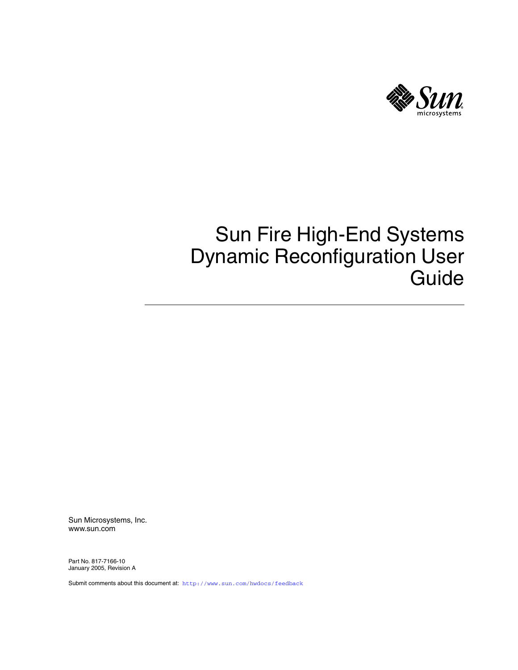

# Sun Fire High-End Systems Dynamic Reconfiguration User Guide

Sun Microsystems, Inc. www.sun.com

Part No. 817-7166-10 January 2005, Revision A

Submit comments about this document at: <http://www.sun.com/hwdocs/feedback>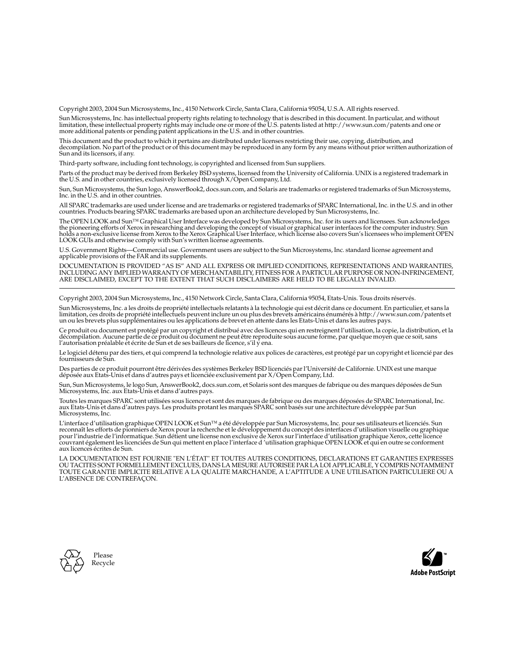Copyright 2003, 2004 Sun Microsystems, Inc., 4150 Network Circle, Santa Clara, California 95054, U.S.A. All rights reserved.

Sun Microsystems, Inc. has intellectual property rights relating to technology that is described in this document. In particular, and without limitation, these intellectual property rights may include one or more of the U.S. patents listed at http://www.sun.com/patents and one or more additional patents or pending patent applications in the U.S. and in other countries.

This document and the product to which it pertains are distributed under licenses restricting their use, copying, distribution, and decompilation. No part of the product or of this document may be reproduced in any form by any means without prior written authorization of Sun and its licensors, if any.

Third-party software, including font technology, is copyrighted and licensed from Sun suppliers.

Parts of the product may be derived from Berkeley BSD systems, licensed from the University of California. UNIX is a registered trademark in the U.S. and in other countries, exclusively licensed through X/Open Company, Ltd.

Sun, Sun Microsystems, the Sun logo, AnswerBook2, docs.sun.com, and Solaris are trademarks or registered trademarks of Sun Microsystems, Inc. in the U.S. and in other countries.

All SPARC trademarks are used under license and are trademarks or registered trademarks of SPARC International, Inc. in the U.S. and in other countries. Products bearing SPARC trademarks are based upon an architecture developed by Sun Microsystems, Inc.

The OPEN LOOK and Sun™ Graphical User Interface was developed by Sun Microsystems, Inc. for its users and licensees. Sun acknowledges the pioneering efforts of Xerox in researching and developing the concept of visual or graphical user interfaces for the computer industry. Sun holds a non-exclusive license from Xerox to the Xerox Graphical User Interface, which license also covers Sun's licensees who implement OPEN LOOK GUIs and otherwise comply with Sun's written license agreements.

U.S. Government Rights—Commercial use. Government users are subject to the Sun Microsystems, Inc. standard license agreement and applicable provisions of the FAR and its supplements.

DOCUMENTATION IS PROVIDED "AS IS" AND ALL EXPRESS OR IMPLIED CONDITIONS, REPRESENTATIONS AND WARRANTIES, INCLUDING ANY IMPLIED WARRANTY OF MERCHANTABILITY, FITNESS FOR A PARTICULAR PURPOSE OR NON-INFRINGEMENT, ARE DISCLAIMED, EXCEPT TO THE EXTENT THAT SUCH DISCLAIMERS ARE HELD TO BE LEGALLY INVALID.

Copyright 2003, 2004 Sun Microsystems, Inc., 4150 Network Circle, Santa Clara, California 95054, Etats-Unis. Tous droits réservés.

Sun Microsystems, Inc. a les droits de propriété intellectuels relatants à la technologie qui est décrit dans ce document. En particulier, et sans la limitation, ces droits de propriété intellectuels peuvent inclure un ou plus des brevets américains énumérés à http://www.sun.com/patents et<br>un ou les brevets plus supplémentaires ou les applications de brevet en attente d

Ce produit ou document est protégé par un copyright et distribué avec des licences qui en restreignent l'utilisation, la copie, la distribution, et la décompilation. Aucune partie de ce produit ou document ne peut être reproduite sous aucune forme, par quelque moyen que ce soit, sans l'autorisation préalable et écrite de Sun et de ses bailleurs de licence, s'il  $\hat{y}$  ena.

Le logiciel détenu par des tiers, et qui comprend la technologie relative aux polices de caractères, est protégé par un copyright et licencié par des fournisseurs de Sun.

Des parties de ce produit pourront être dérivées des systèmes Berkeley BSD licenciés par l'Université de Californie. UNIX est une marque déposée aux Etats-Unis et dans d'autres pays et licenciée exclusivement par X/Open Company, Ltd.

Sun, Sun Microsystems, le logo Sun, AnswerBook2, docs.sun.com, et Solaris sont des marques de fabrique ou des marques déposées de Sun Microsystems, Inc. aux Etats-Unis et dans d'autres pays.

Toutes les marques SPARC sont utilisées sous licence et sont des marques de fabrique ou des marques déposées de SPARC International, Inc. aux Etats-Unis et dans d'autres pays. Les produits protant les marques SPARC sont basés sur une architecture développée par Sun Microsystems, Inc.

L'interface d'utilisation graphique OPEN LOOK et Sun™ a été développée par Sun Microsystems, Inc. pour ses utilisateurs et licenciés. Sun reconnaît les efforts de pionniers de Xerox pour la recherche et le développement du concept des interfaces d'utilisation visuelle ou graphique<br>pour l'industrie de l'informatique. Sun détient une license non exclusive de X couvrant également les licenciées de Sun qui mettent en place l'interface d 'utilisation graphique OPEN LOOK et qui en outre se conforment aux licences écrites de Sun.

LA DOCUMENTATION EST FOURNIE "EN L'ÉTAT" ET TOUTES AUTRES CONDITIONS, DECLARATIONS ET GARANTIES EXPRESSES OU TACITES SONT FORMELLEMENT EXCLUES, DANS LA MESURE AUTORISEE PAR LA LOI APPLICABLE, Y COMPRIS NOTAMMENT TOUTE GARANTIE IMPLICITE RELATIVE A LA QUALITE MARCHANDE, A L'APTITUDE A UNE UTILISATION PARTICULIERE OU A L'ABSENCE DE CONTREFAÇON.



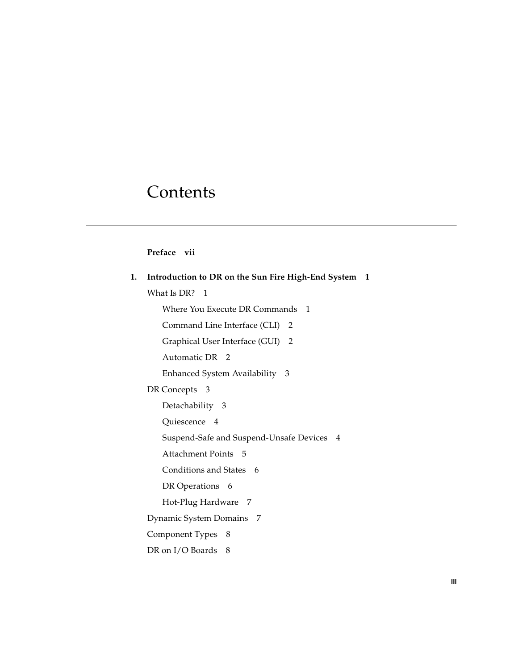# **Contents**

#### **[Preface](#page-6-0) vii**

| 1. | Introduction to DR on the Sun Fire High-End System 1 |
|----|------------------------------------------------------|
|    | What Is DR? 1                                        |
|    | Where You Execute DR Commands 1                      |
|    | Command Line Interface (CLI) 2                       |
|    | Graphical User Interface (GUI) 2                     |
|    | Automatic DR 2                                       |
|    | Enhanced System Availability<br>- 3                  |
|    | DR Concepts 3                                        |
|    | Detachability 3                                      |
|    | Quiescence 4                                         |
|    | Suspend-Safe and Suspend-Unsafe Devices 4            |
|    | Attachment Points 5                                  |
|    | Conditions and States 6                              |
|    | DR Operations 6                                      |
|    | Hot-Plug Hardware 7                                  |
|    | Dynamic System Domains 7                             |
|    | Component Types 8                                    |
|    | DR on I/O Boards 8                                   |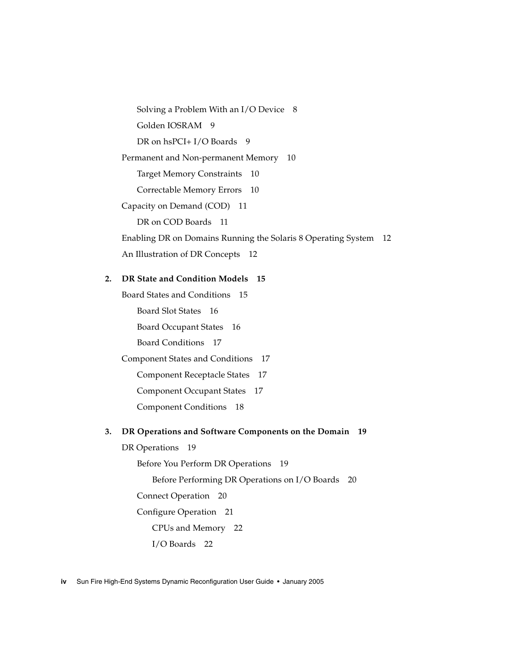[Solving a Problem With an I/O Device](#page-17-2) 8 [Golden IOSRAM](#page-18-0) 9 [DR on hsPCI+ I/O Boards](#page-18-1) 9 [Permanent and Non-permanent Memory](#page-19-0) 10 [Target Memory Constraints](#page-19-1) 10 [Correctable Memory Errors](#page-19-2) 10 [Capacity on Demand \(COD\)](#page-20-0) 11 [DR on COD Boards](#page-20-1) 11 [Enabling DR on Domains Running the Solaris 8 Operating System](#page-21-0) 12 [An Illustration of DR Concepts](#page-21-1) 12

#### **2. [DR State and Condition Models](#page-24-0) 15**

[Board States and Conditions](#page-24-1) 15 [Board Slot States](#page-25-0) 16 [Board Occupant States](#page-25-1) 16 [Board Conditions](#page-26-0) 17 [Component States and Conditions](#page-26-1) 17 [Component Receptacle States](#page-26-2) 17

[Component Occupant States](#page-26-3) 17

[Component Conditions](#page-27-0) 18

#### **3. [DR Operations and Software Components on the Domain](#page-28-0) 19**

[DR Operations](#page-28-1) 19

[Before You Perform DR Operations](#page-28-2) 19

[Before Performing DR Operations on I/O Boards](#page-29-0) 20

[Connect Operation](#page-29-1) 20

[Configure Operation](#page-30-0) 21

[CPUs and Memory](#page-31-0) 22

[I/O Boards](#page-31-1) 22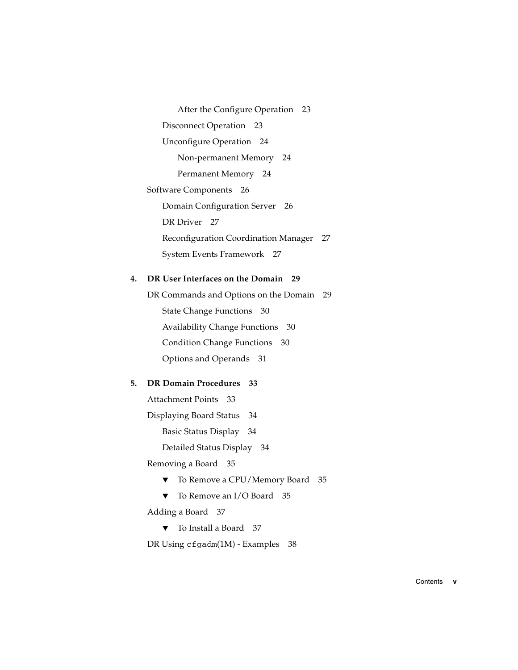[After the Configure Operation](#page-32-0) 23 [Disconnect Operation](#page-32-1) 23 [Unconfigure Operation](#page-33-0) 24 [Non-permanent Memory](#page-33-1) 24 [Permanent Memory](#page-33-2) 24 [Software Components](#page-35-0) 26 [Domain Configuration Server](#page-35-1) 26 [DR Driver](#page-36-0) 27 [Reconfiguration Coordination Manager](#page-36-1) 27 [System Events Framework](#page-36-2) 27

#### **4. [DR User Interfaces on the Domain](#page-38-0) 29**

[DR Commands and Options on the Domain](#page-38-1) 29 [State Change Functions](#page-39-0) 30 [Availability Change Functions](#page-39-1) 30 [Condition Change Functions](#page-39-2) 30 [Options and Operands](#page-40-0) 31

#### **5. [DR Domain Procedures](#page-42-0) 33**

[Attachment Points](#page-42-1) 33

[Displaying Board Status](#page-43-0) 34

[Basic Status Display](#page-43-1) 34

[Detailed Status Display](#page-43-2) 34

[Removing a Board](#page-44-0) 35

- ▼ [To Remove a CPU/Memory Board](#page-44-1) 35
- ▼ [To Remove an I/O Board](#page-44-2) 35

[Adding a Board](#page-46-0) 37

▼ [To Install a Board](#page-46-1) 37

[DR Using](#page-47-0) cfgadm(1M) - Examples 38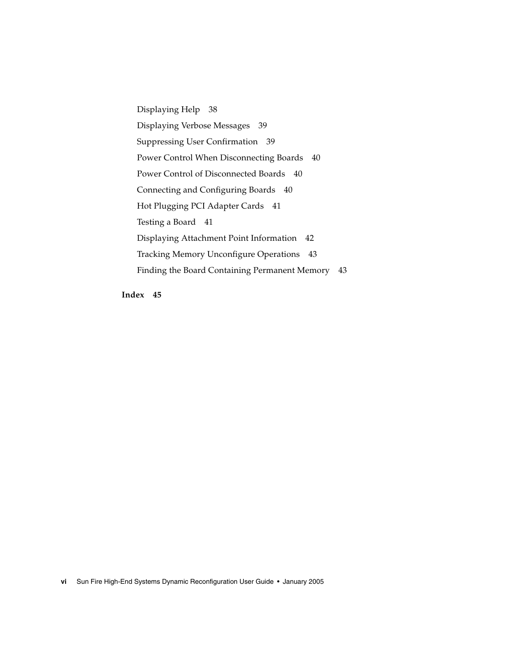[Displaying Help](#page-47-1) 38 [Displaying Verbose Messages](#page-48-0) 39 [Suppressing User Confirmation](#page-48-1) 39 [Power Control When Disconnecting Boards](#page-49-0) 40 [Power Control of Disconnected Boards](#page-49-1) 40 [Connecting and Configuring Boards](#page-49-2) 40 [Hot Plugging PCI Adapter Cards](#page-50-0) 41 [Testing a Board](#page-50-1) 41 [Displaying Attachment Point Information](#page-51-0) 42 [Tracking Memory Unconfigure Operations](#page-52-0) 43 [Finding the Board Containing Permanent Memory](#page-52-1) 43

**[Index](#page-54-0) 45**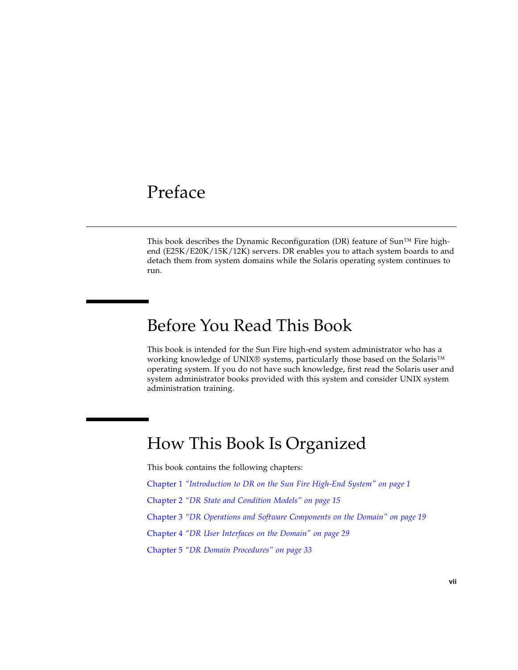## <span id="page-6-0"></span>Preface

This book describes the Dynamic Reconfiguration (DR) feature of Sun<sup> $TM$ </sup> Fire highend (E25K/E20K/15K/12K) servers. DR enables you to attach system boards to and detach them from system domains while the Solaris operating system continues to run.

## Before You Read This Book

This book is intended for the Sun Fire high-end system administrator who has a working knowledge of UNIX® systems, particularly those based on the Solaris<sup>™</sup> operating system. If you do not have such knowledge, first read the Solaris user and system administrator books provided with this system and consider UNIX system administration training.

## How This Book Is Organized

This book contains the following chapters:

- [Chapter](#page-10-3) 1 *["Introduction to DR on the Sun Fire High-End System" on page](#page-10-4) 1*
- [Chapter](#page-24-2) 2 *["DR State and Condition Models" on page](#page-24-3) 15*
- [Chapter](#page-28-3) 3 *["DR Operations and Software Components on the Domain" on page](#page-28-4) 19*

[Chapter](#page-38-2) 4 *["DR User Interfaces on the Domain" on page](#page-38-3) 29*

[Chapter](#page-42-2) 5 *["DR Domain Procedures" on page](#page-42-3) 33*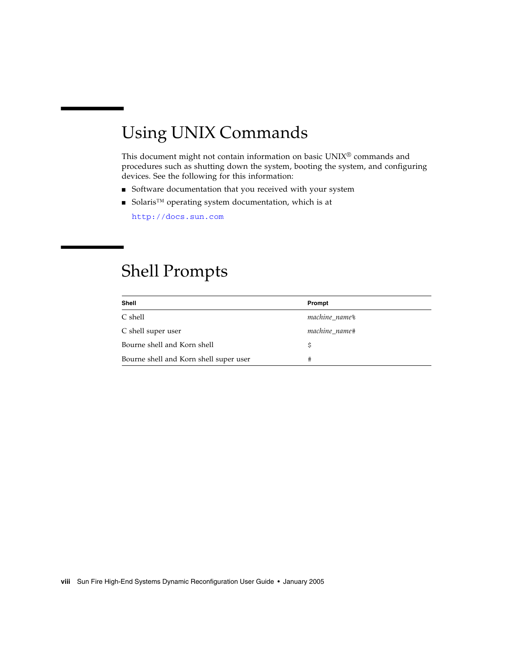# Using UNIX Commands

This document might not contain information on basic UNIX® commands and procedures such as shutting down the system, booting the system, and configuring devices. See the following for this information:

- Software documentation that you received with your system
- Solaris<sup>™</sup> operating system documentation, which is at

<http://docs.sun.com>

## Shell Prompts

| Shell                                  | Prompt                    |
|----------------------------------------|---------------------------|
| C shell                                | machine name <sup>§</sup> |
| C shell super user                     | machine name#             |
| Bourne shell and Korn shell            | Ŝ                         |
| Bourne shell and Korn shell super user |                           |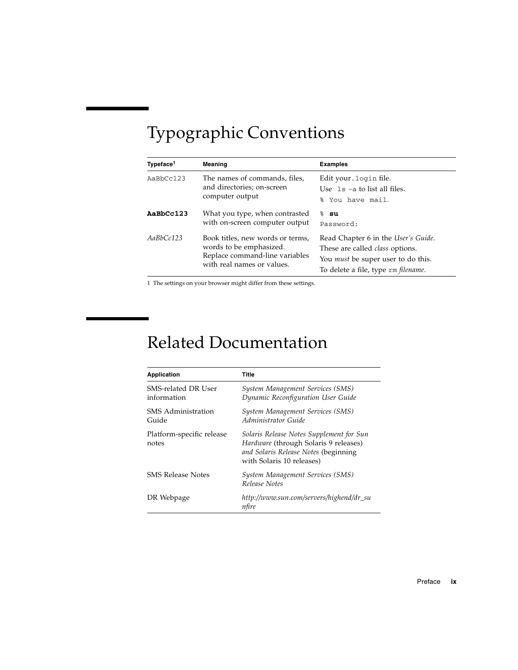# Typographic Conventions

| Typeface <sup>1</sup> | Meaning                                                                                                                     | <b>Examples</b>                                                                                                                                                   |
|-----------------------|-----------------------------------------------------------------------------------------------------------------------------|-------------------------------------------------------------------------------------------------------------------------------------------------------------------|
| AaBbCc123             | The names of commands, files,<br>and directories; on-screen<br>computer output                                              | Edit your. login file.<br>Use $1s$ -a to list all files.<br>% You have mail.                                                                                      |
| AaBbCc123             | What you type, when contrasted<br>with on-screen computer output                                                            | ℅<br>su<br>Password:                                                                                                                                              |
| AaBbCc123             | Book titles, new words or terms,<br>words to be emphasized.<br>Replace command-line variables<br>with real names or values. | Read Chapter 6 in the User's Guide.<br>These are called <i>class</i> options.<br>You <i>must</i> be super user to do this.<br>To delete a file, type rm filename. |

1 The settings on your browser might differ from these settings.

# Related Documentation

| <b>Application</b>                 | Title                                                                                                                                                  |
|------------------------------------|--------------------------------------------------------------------------------------------------------------------------------------------------------|
| SMS-related DR User<br>information | System Management Services (SMS)<br>Dynamic Reconfiguration User Guide                                                                                 |
| SMS Administration<br>Guide        | System Management Services (SMS)<br>Administrator Guide                                                                                                |
| Platform-specific release<br>notes | Solaris Release Notes Supplement for Sun<br>Hardware (through Solaris 9 releases)<br>and Solaris Release Notes (beginning<br>with Solaris 10 releases) |
| <b>SMS Release Notes</b>           | System Management Services (SMS)<br>Release Notes                                                                                                      |
| DR Webpage                         | http://www.sun.com/servers/highend/dr_su<br>nfire                                                                                                      |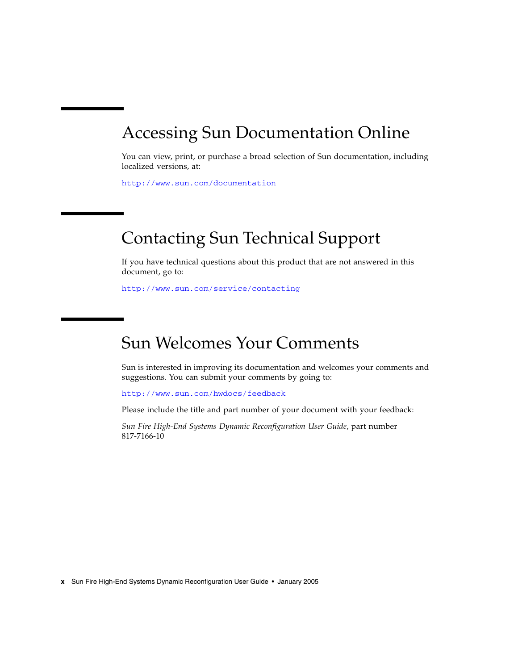# Accessing Sun Documentation Online

You can view, print, or purchase a broad selection of Sun documentation, including localized versions, at:

<http://www.sun.com/documentation>

# Contacting Sun Technical Support

If you have technical questions about this product that are not answered in this document, go to:

<http://www.sun.com/service/contacting>

# Sun Welcomes Your Comments

Sun is interested in improving its documentation and welcomes your comments and suggestions. You can submit your comments by going to:

<http://www.sun.com/hwdocs/feedback>

Please include the title and part number of your document with your feedback:

*Sun Fire High-End Systems Dynamic Reconfiguration User Guide*, part number 817-7166-10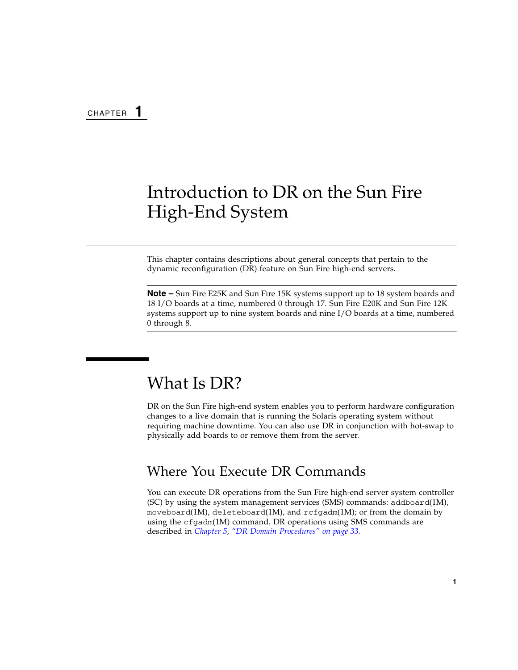<span id="page-10-3"></span>CHAPTER **1**

# <span id="page-10-4"></span><span id="page-10-0"></span>Introduction to DR on the Sun Fire High-End System

This chapter contains descriptions about general concepts that pertain to the dynamic reconfiguration (DR) feature on Sun Fire high-end servers.

**Note –** Sun Fire E25K and Sun Fire 15K systems support up to 18 system boards and 18 I/O boards at a time, numbered 0 through 17. Sun Fire E20K and Sun Fire 12K systems support up to nine system boards and nine I/O boards at a time, numbered 0 through 8.

## <span id="page-10-1"></span>What Is DR?

DR on the Sun Fire high-end system enables you to perform hardware configuration changes to a live domain that is running the Solaris operating system without requiring machine downtime. You can also use DR in conjunction with hot-swap to physically add boards to or remove them from the server.

### <span id="page-10-2"></span>Where You Execute DR Commands

You can execute DR operations from the Sun Fire high-end server system controller (SC) by using the system management services (SMS) commands: addboard(1M), moveboard(1M), deleteboard(1M), and  $\text{rcf}$  gadm(1M); or from the domain by using the cfgadm(1M) command. DR operations using SMS commands are described in *[Chapter](#page-42-2) 5*, *["DR Domain Procedures" on page](#page-42-3) 33.*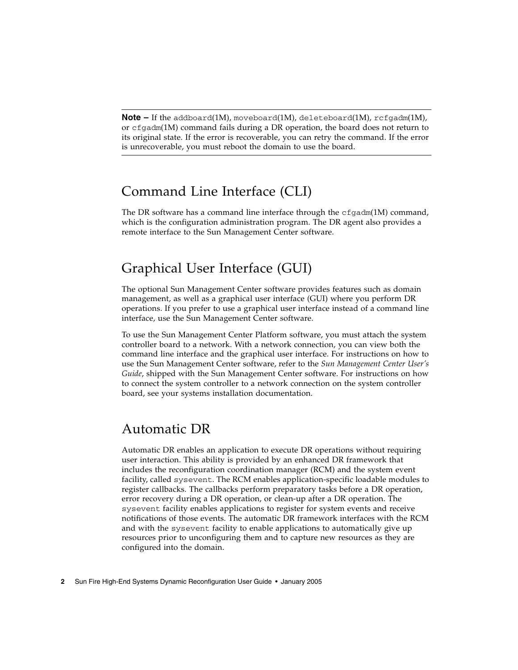**Note –** If the addboard(1M), moveboard(1M), deleteboard(1M), rcfgadm(1M), or cfgadm(1M) command fails during a DR operation, the board does not return to its original state. If the error is recoverable, you can retry the command. If the error is unrecoverable, you must reboot the domain to use the board.

### <span id="page-11-4"></span><span id="page-11-0"></span>Command Line Interface (CLI)

The DR software has a command line interface through the  $cf$   $q$  $adm(1M)$  command, which is the configuration administration program. The DR agent also provides a remote interface to the Sun Management Center software.

## <span id="page-11-1"></span>Graphical User Interface (GUI)

The optional Sun Management Center software provides features such as domain management, as well as a graphical user interface (GUI) where you perform DR operations. If you prefer to use a graphical user interface instead of a command line interface, use the Sun Management Center software.

To use the Sun Management Center Platform software, you must attach the system controller board to a network. With a network connection, you can view both the command line interface and the graphical user interface. For instructions on how to use the Sun Management Center software, refer to the *Sun Management Center User's Guide*, shipped with the Sun Management Center software. For instructions on how to connect the system controller to a network connection on the system controller board, see your systems installation documentation.

### <span id="page-11-2"></span>Automatic DR

<span id="page-11-6"></span><span id="page-11-5"></span><span id="page-11-3"></span>Automatic DR enables an application to execute DR operations without requiring user interaction. This ability is provided by an enhanced DR framework that includes the reconfiguration coordination manager (RCM) and the system event facility, called sysevent. The RCM enables application-specific loadable modules to register callbacks. The callbacks perform preparatory tasks before a DR operation, error recovery during a DR operation, or clean-up after a DR operation. The sysevent facility enables applications to register for system events and receive notifications of those events. The automatic DR framework interfaces with the RCM and with the sysevent facility to enable applications to automatically give up resources prior to unconfiguring them and to capture new resources as they are configured into the domain.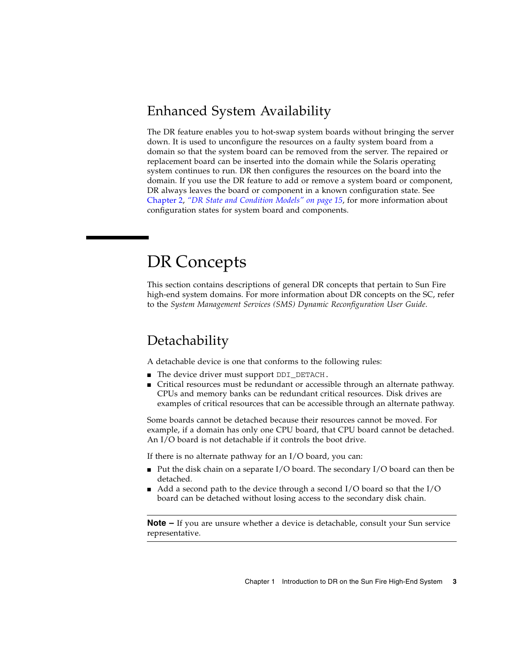## <span id="page-12-0"></span>Enhanced System Availability

<span id="page-12-7"></span>The DR feature enables you to hot-swap system boards without bringing the server down. It is used to unconfigure the resources on a faulty system board from a domain so that the system board can be removed from the server. The repaired or replacement board can be inserted into the domain while the Solaris operating system continues to run. DR then configures the resources on the board into the domain. If you use the DR feature to add or remove a system board or component, DR always leaves the board or component in a known configuration state. See [Chapter](#page-24-2) 2, *["DR State and Condition Models" on page](#page-24-3) 15*, for more information about configuration states for system board and components.

# <span id="page-12-1"></span>DR Concepts

<span id="page-12-6"></span>This section contains descriptions of general DR concepts that pertain to Sun Fire high-end system domains. For more information about DR concepts on the SC, refer to the *System Management Services (SMS) Dynamic Reconfiguration User Guide*.

### <span id="page-12-2"></span>**Detachability**

<span id="page-12-5"></span><span id="page-12-4"></span>A detachable device is one that conforms to the following rules:

- The device driver must support DDI\_DETACH.
- Critical resources must be redundant or accessible through an alternate pathway. CPUs and memory banks can be redundant critical resources. Disk drives are examples of critical resources that can be accessible through an alternate pathway.

<span id="page-12-3"></span>Some boards cannot be detached because their resources cannot be moved. For example, if a domain has only one CPU board, that CPU board cannot be detached. An I/O board is not detachable if it controls the boot drive.

<span id="page-12-8"></span>If there is no alternate pathway for an I/O board, you can:

- Put the disk chain on a separate  $I/O$  board. The secondary  $I/O$  board can then be detached.
- Add a second path to the device through a second I/O board so that the I/O board can be detached without losing access to the secondary disk chain.

**Note –** If you are unsure whether a device is detachable, consult your Sun service representative.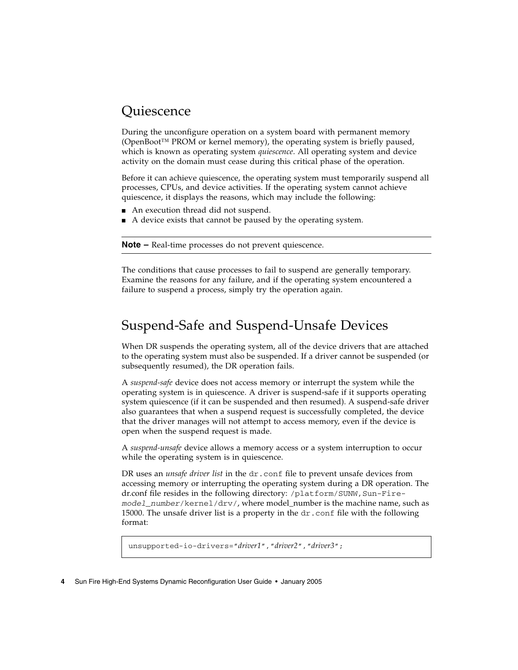## <span id="page-13-0"></span>**Ouiescence**

<span id="page-13-7"></span>During the unconfigure operation on a system board with permanent memory (OpenBoot<sup>™</sup> PROM or kernel memory), the operating system is briefly paused, which is known as operating system *quiescence*. All operating system and device activity on the domain must cease during this critical phase of the operation.

<span id="page-13-2"></span>Before it can achieve quiescence, the operating system must temporarily suspend all processes, CPUs, and device activities. If the operating system cannot achieve quiescence, it displays the reasons, which may include the following:

- An execution thread did not suspend.
- A device exists that cannot be paused by the operating system.

<span id="page-13-6"></span>**Note –** Real-time processes do not prevent quiescence.

The conditions that cause processes to fail to suspend are generally temporary. Examine the reasons for any failure, and if the operating system encountered a failure to suspend a process, simply try the operation again.

## <span id="page-13-1"></span>Suspend-Safe and Suspend-Unsafe Devices

<span id="page-13-5"></span>When DR suspends the operating system, all of the device drivers that are attached to the operating system must also be suspended. If a driver cannot be suspended (or subsequently resumed), the DR operation fails.

A *suspend-safe* device does not access memory or interrupt the system while the operating system is in quiescence. A driver is suspend-safe if it supports operating system quiescence (if it can be suspended and then resumed). A suspend-safe driver also guarantees that when a suspend request is successfully completed, the device that the driver manages will not attempt to access memory, even if the device is open when the suspend request is made.

<span id="page-13-4"></span>A *suspend-unsafe* device allows a memory access or a system interruption to occur while the operating system is in quiescence.

<span id="page-13-3"></span>DR uses an *unsafe driver list* in the dr.conf file to prevent unsafe devices from accessing memory or interrupting the operating system during a DR operation. The dr.conf file resides in the following directory: /platform/SUNW, Sun-Fire*model\_number*/kernel/drv/, where model\_number is the machine name, such as 15000. The unsafe driver list is a property in the  $d\mathbf{r}$  conf file with the following format:

```
unsupported-io-drivers="driver1","driver2","driver3";
```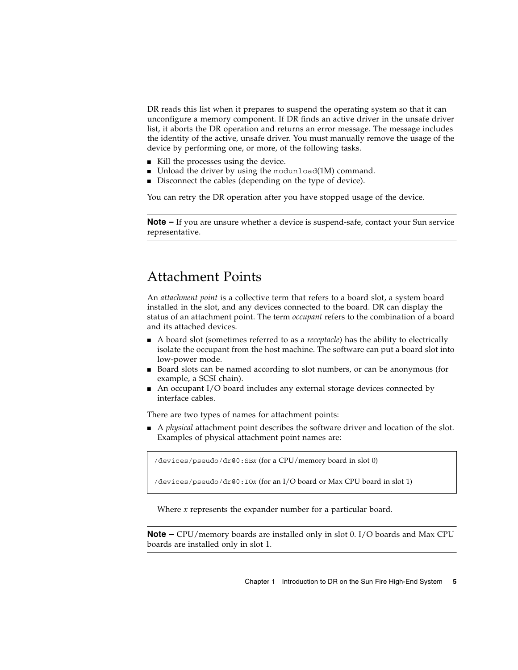DR reads this list when it prepares to suspend the operating system so that it can unconfigure a memory component. If DR finds an active driver in the unsafe driver list, it aborts the DR operation and returns an error message. The message includes the identity of the active, unsafe driver. You must manually remove the usage of the device by performing one, or more, of the following tasks.

- Kill the processes using the device.
- Unload the driver by using the modunload(1M) command.
- Disconnect the cables (depending on the type of device).

You can retry the DR operation after you have stopped usage of the device.

**Note –** If you are unsure whether a device is suspend-safe, contact your Sun service representative.

### <span id="page-14-0"></span>Attachment Points

<span id="page-14-2"></span><span id="page-14-1"></span>An *attachment point* is a collective term that refers to a board slot, a system board installed in the slot, and any devices connected to the board. DR can display the status of an attachment point. The term *occupant* refers to the combination of a board and its attached devices.

- A board slot (sometimes referred to as a *receptacle*) has the ability to electrically isolate the occupant from the host machine. The software can put a board slot into low-power mode.
- Board slots can be named according to slot numbers, or can be anonymous (for example, a SCSI chain).
- $\blacksquare$  An occupant I/O board includes any external storage devices connected by interface cables.

<span id="page-14-3"></span>There are two types of names for attachment points:

■ A *physical* attachment point describes the software driver and location of the slot. Examples of physical attachment point names are:

/devices/pseudo/dr@0:SB*x* (for a CPU/memory board in slot 0)

/devices/pseudo/dr@0:IO*x* (for an I/O board or Max CPU board in slot 1)

<span id="page-14-4"></span>Where *x* represents the expander number for a particular board.

**Note –** CPU/memory boards are installed only in slot 0. I/O boards and Max CPU boards are installed only in slot 1.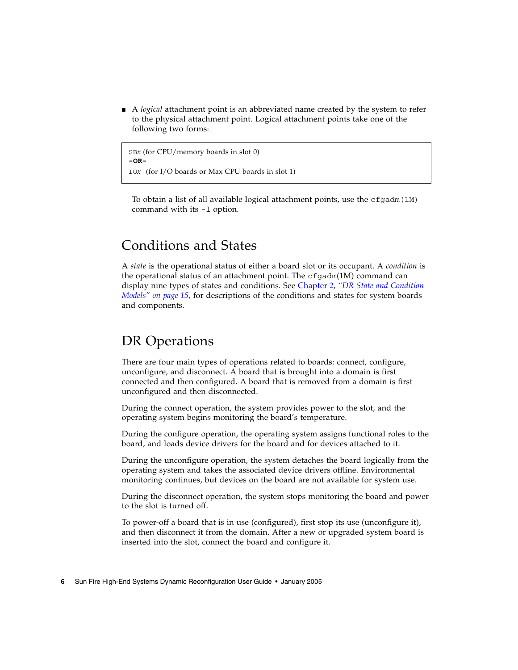<span id="page-15-8"></span>■ A *logical* attachment point is an abbreviated name created by the system to refer to the physical attachment point. Logical attachment points take one of the following two forms:

SB*x* (for CPU/memory boards in slot 0) **-OR-**IO*x* (for I/O boards or Max CPU boards in slot 1)

To obtain a list of all available logical attachment points, use the  $cf$  gadm(1M) command with its -l option.

## <span id="page-15-0"></span>Conditions and States

<span id="page-15-2"></span>A *state* is the operational status of either a board slot or its occupant. A *condition* is the operational status of an attachment point. The  $cf$ gadm(1M) command can display nine types of states and conditions. See [Chapter](#page-24-2) 2, *["DR State and Condition](#page-24-3)  [Models" on page](#page-24-3) 15*, for descriptions of the conditions and states for system boards and components.

## <span id="page-15-1"></span>DR Operations

<span id="page-15-6"></span>There are four main types of operations related to boards: connect, configure, unconfigure, and disconnect. A board that is brought into a domain is first connected and then configured. A board that is removed from a domain is first unconfigured and then disconnected.

<span id="page-15-4"></span>During the connect operation, the system provides power to the slot, and the operating system begins monitoring the board's temperature.

<span id="page-15-3"></span>During the configure operation, the operating system assigns functional roles to the board, and loads device drivers for the board and for devices attached to it.

<span id="page-15-7"></span>During the unconfigure operation, the system detaches the board logically from the operating system and takes the associated device drivers offline. Environmental monitoring continues, but devices on the board are not available for system use.

<span id="page-15-5"></span>During the disconnect operation, the system stops monitoring the board and power to the slot is turned off.

To power-off a board that is in use (configured), first stop its use (unconfigure it), and then disconnect it from the domain. After a new or upgraded system board is inserted into the slot, connect the board and configure it.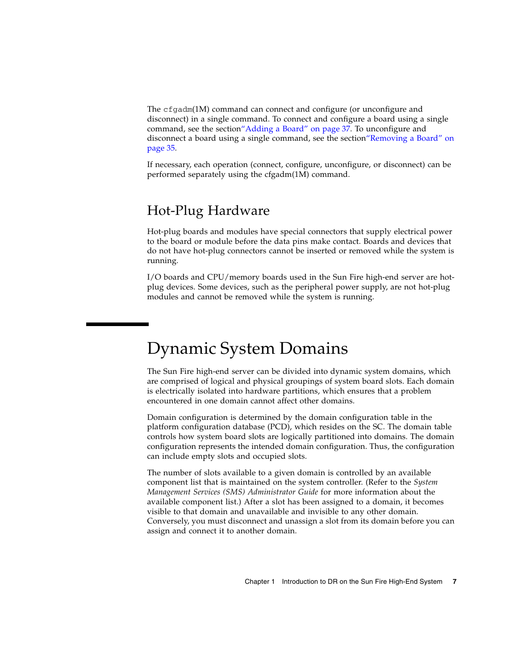<span id="page-16-4"></span>The cfgadm(1M) command can connect and configure (or unconfigure and disconnect) in a single command. To connect and configure a board using a single command, see the sectio[n"Adding a Board" on page](#page-46-2) 37. To unconfigure and disconnect a board using a single command, see the section["Removing a Board" on](#page-44-3)  [page](#page-44-3) 35.

If necessary, each operation (connect, configure, unconfigure, or disconnect) can be performed separately using the cfgadm(1M) command.

### <span id="page-16-0"></span>Hot-Plug Hardware

<span id="page-16-3"></span>Hot-plug boards and modules have special connectors that supply electrical power to the board or module before the data pins make contact. Boards and devices that do not have hot-plug connectors cannot be inserted or removed while the system is running.

I/O boards and CPU/memory boards used in the Sun Fire high-end server are hotplug devices. Some devices, such as the peripheral power supply, are not hot-plug modules and cannot be removed while the system is running.

# <span id="page-16-1"></span>Dynamic System Domains

<span id="page-16-5"></span>The Sun Fire high-end server can be divided into dynamic system domains, which are comprised of logical and physical groupings of system board slots. Each domain is electrically isolated into hardware partitions, which ensures that a problem encountered in one domain cannot affect other domains.

<span id="page-16-8"></span><span id="page-16-6"></span>Domain configuration is determined by the domain configuration table in the platform configuration database (PCD), which resides on the SC. The domain table controls how system board slots are logically partitioned into domains. The domain configuration represents the intended domain configuration. Thus, the configuration can include empty slots and occupied slots.

<span id="page-16-7"></span><span id="page-16-2"></span>The number of slots available to a given domain is controlled by an available component list that is maintained on the system controller. (Refer to the *System Management Services (SMS) Administrator Guide* for more information about the available component list.) After a slot has been assigned to a domain, it becomes visible to that domain and unavailable and invisible to any other domain. Conversely, you must disconnect and unassign a slot from its domain before you can assign and connect it to another domain.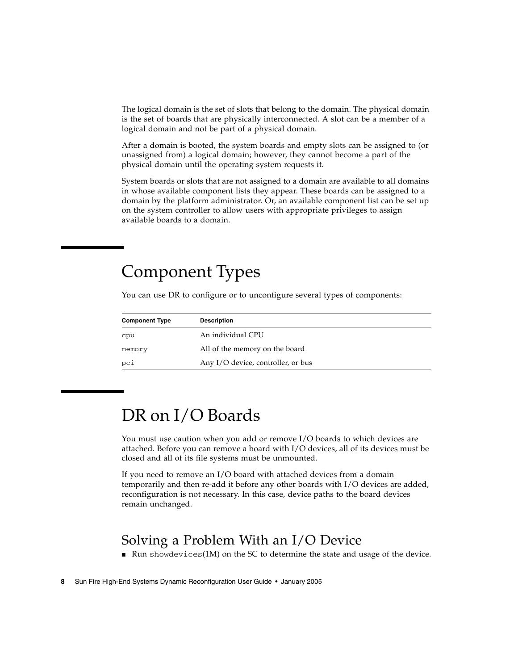<span id="page-17-7"></span>The logical domain is the set of slots that belong to the domain. The physical domain is the set of boards that are physically interconnected. A slot can be a member of a logical domain and not be part of a physical domain.

After a domain is booted, the system boards and empty slots can be assigned to (or unassigned from) a logical domain; however, they cannot become a part of the physical domain until the operating system requests it.

System boards or slots that are not assigned to a domain are available to all domains in whose available component lists they appear. These boards can be assigned to a domain by the platform administrator. Or, an available component list can be set up on the system controller to allow users with appropriate privileges to assign available boards to a domain.

# <span id="page-17-3"></span><span id="page-17-0"></span>Component Types

<span id="page-17-5"></span>You can use DR to configure or to unconfigure several types of components:

<span id="page-17-9"></span><span id="page-17-8"></span><span id="page-17-6"></span>

| <b>Component Type</b> | <b>Description</b>                 |
|-----------------------|------------------------------------|
| cpu                   | An individual CPU                  |
| memory                | All of the memory on the board     |
| pci                   | Any I/O device, controller, or bus |

# <span id="page-17-1"></span>DR on I/O Boards

<span id="page-17-4"></span>You must use caution when you add or remove I/O boards to which devices are attached. Before you can remove a board with I/O devices, all of its devices must be closed and all of its file systems must be unmounted.

If you need to remove an I/O board with attached devices from a domain temporarily and then re-add it before any other boards with I/O devices are added, reconfiguration is not necessary. In this case, device paths to the board devices remain unchanged.

## <span id="page-17-2"></span>Solving a Problem With an I/O Device

<span id="page-17-10"></span> $\blacksquare$  Run showdevices(1M) on the SC to determine the state and usage of the device.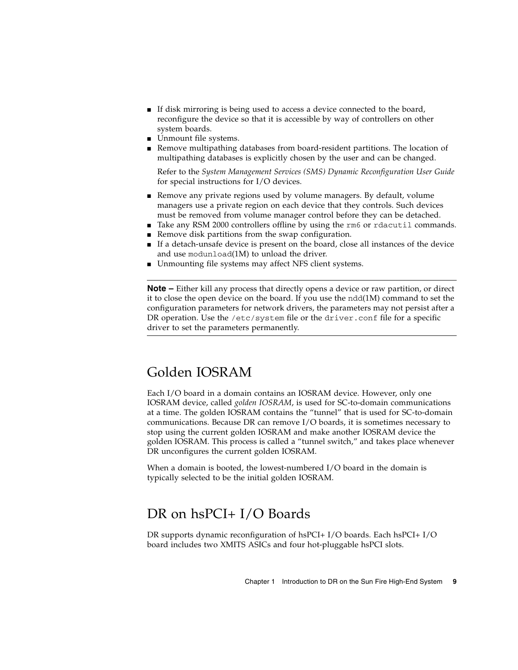- <span id="page-18-2"></span>■ If disk mirroring is being used to access a device connected to the board, reconfigure the device so that it is accessible by way of controllers on other system boards.
- <span id="page-18-5"></span>■ Unmount file systems.
- Remove multipathing databases from board-resident partitions. The location of multipathing databases is explicitly chosen by the user and can be changed.

<span id="page-18-9"></span>Refer to the *System Management Services (SMS) Dynamic Reconfiguration User Guide*  for special instructions for I/O devices.

- Remove any private regions used by volume managers. By default, volume managers use a private region on each device that they controls. Such devices must be removed from volume manager control before they can be detached.
- <span id="page-18-8"></span><span id="page-18-3"></span>■ Take any RSM 2000 controllers offline by using the rm6 or rdacutil commands.
- Remove disk partitions from the swap configuration.
- If a detach-unsafe device is present on the board, close all instances of the device and use modunload(1M) to unload the driver.
- Unmounting file systems may affect NFS client systems.

<span id="page-18-7"></span><span id="page-18-6"></span>**Note –** Either kill any process that directly opens a device or raw partition, or direct it to close the open device on the board. If you use the  $n\text{d}a(1M)$  command to set the configuration parameters for network drivers, the parameters may not persist after a DR operation. Use the /etc/system file or the driver.conf file for a specific driver to set the parameters permanently.

### <span id="page-18-0"></span>Golden IOSRAM

<span id="page-18-4"></span>Each I/O board in a domain contains an IOSRAM device. However, only one IOSRAM device, called *golden IOSRAM*, is used for SC-to-domain communications at a time. The golden IOSRAM contains the "tunnel" that is used for SC-to-domain communications. Because DR can remove I/O boards, it is sometimes necessary to stop using the current golden IOSRAM and make another IOSRAM device the golden IOSRAM. This process is called a "tunnel switch," and takes place whenever DR unconfigures the current golden IOSRAM.

When a domain is booted, the lowest-numbered I/O board in the domain is typically selected to be the initial golden IOSRAM.

### <span id="page-18-10"></span><span id="page-18-1"></span>DR on hsPCI+ I/O Boards

DR supports dynamic reconfiguration of hsPCI+ I/O boards. Each hsPCI+ I/O board includes two XMITS ASICs and four hot-pluggable hsPCI slots.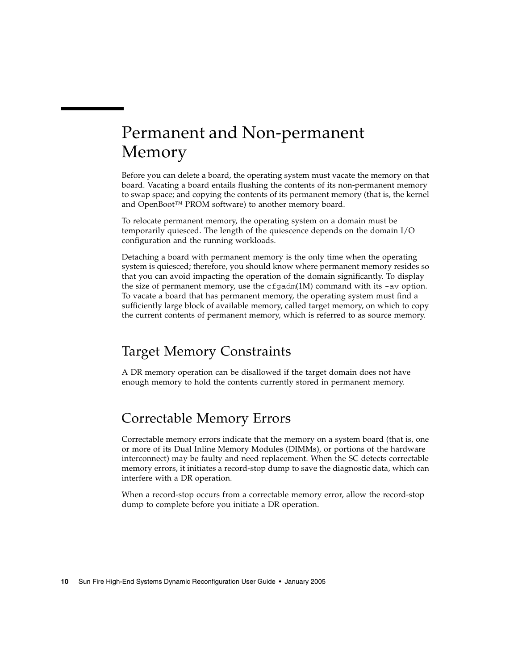# <span id="page-19-3"></span><span id="page-19-0"></span>Permanent and Non-permanent Memory

<span id="page-19-7"></span>Before you can delete a board, the operating system must vacate the memory on that board. Vacating a board entails flushing the contents of its non-permanent memory to swap space; and copying the contents of its permanent memory (that is, the kernel and OpenBoot™ PROM software) to another memory board.

<span id="page-19-10"></span>To relocate permanent memory, the operating system on a domain must be temporarily quiesced. The length of the quiescence depends on the domain I/O configuration and the running workloads.

<span id="page-19-9"></span><span id="page-19-4"></span>Detaching a board with permanent memory is the only time when the operating system is quiesced; therefore, you should know where permanent memory resides so that you can avoid impacting the operation of the domain significantly. To display the size of permanent memory, use the  $cf$ gadm(1M) command with its -av option. To vacate a board that has permanent memory, the operating system must find a sufficiently large block of available memory, called target memory, on which to copy the current contents of permanent memory, which is referred to as source memory.

## <span id="page-19-8"></span><span id="page-19-1"></span>Target Memory Constraints

A DR memory operation can be disallowed if the target domain does not have enough memory to hold the contents currently stored in permanent memory.

## <span id="page-19-2"></span>Correctable Memory Errors

<span id="page-19-6"></span><span id="page-19-5"></span>Correctable memory errors indicate that the memory on a system board (that is, one or more of its Dual Inline Memory Modules (DIMMs), or portions of the hardware interconnect) may be faulty and need replacement. When the SC detects correctable memory errors, it initiates a record-stop dump to save the diagnostic data, which can interfere with a DR operation.

When a record-stop occurs from a correctable memory error, allow the record-stop dump to complete before you initiate a DR operation.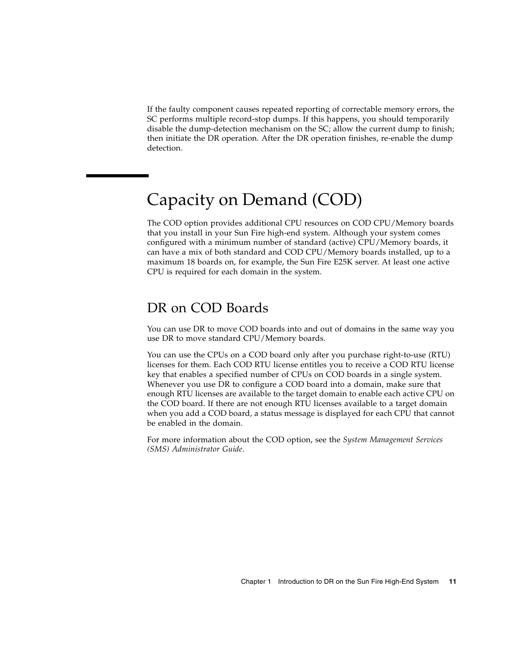<span id="page-20-3"></span>If the faulty component causes repeated reporting of correctable memory errors, the SC performs multiple record-stop dumps. If this happens, you should temporarily disable the dump-detection mechanism on the SC; allow the current dump to finish; then initiate the DR operation. After the DR operation finishes, re-enable the dump detection.

# <span id="page-20-2"></span><span id="page-20-0"></span>Capacity on Demand (COD)

The COD option provides additional CPU resources on COD CPU/Memory boards that you install in your Sun Fire high-end system. Although your system comes configured with a minimum number of standard (active) CPU/Memory boards, it can have a mix of both standard and COD CPU/Memory boards installed, up to a maximum 18 boards on, for example, the Sun Fire E25K server. At least one active CPU is required for each domain in the system.

## <span id="page-20-1"></span>DR on COD Boards

You can use DR to move COD boards into and out of domains in the same way you use DR to move standard CPU/Memory boards.

You can use the CPUs on a COD board only after you purchase right-to-use (RTU) licenses for them. Each COD RTU license entitles you to receive a COD RTU license key that enables a specified number of CPUs on COD boards in a single system. Whenever you use DR to configure a COD board into a domain, make sure that enough RTU licenses are available to the target domain to enable each active CPU on the COD board. If there are not enough RTU licenses available to a target domain when you add a COD board, a status message is displayed for each CPU that cannot be enabled in the domain.

For more information about the COD option, see the *System Management Services (SMS) Administrator Guide*.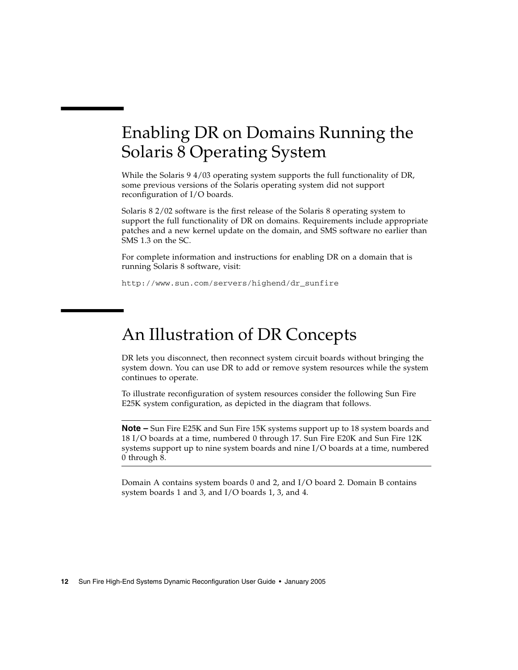# <span id="page-21-3"></span><span id="page-21-0"></span>Enabling DR on Domains Running the Solaris 8 Operating System

While the Solaris 9 4/03 operating system supports the full functionality of DR, some previous versions of the Solaris operating system did not support reconfiguration of I/O boards.

Solaris 8 2/02 software is the first release of the Solaris 8 operating system to support the full functionality of DR on domains. Requirements include appropriate patches and a new kernel update on the domain, and SMS software no earlier than SMS 1.3 on the SC.

For complete information and instructions for enabling DR on a domain that is running Solaris 8 software, visit:

http://www.sun.com/servers/highend/dr\_sunfire

# <span id="page-21-2"></span><span id="page-21-1"></span>An Illustration of DR Concepts

DR lets you disconnect, then reconnect system circuit boards without bringing the system down. You can use DR to add or remove system resources while the system continues to operate.

To illustrate reconfiguration of system resources consider the following Sun Fire E25K system configuration, as depicted in the diagram that follows.

**Note –** Sun Fire E25K and Sun Fire 15K systems support up to 18 system boards and 18 I/O boards at a time, numbered 0 through 17. Sun Fire E20K and Sun Fire 12K systems support up to nine system boards and nine I/O boards at a time, numbered 0 through 8.

Domain A contains system boards 0 and 2, and I/O board 2. Domain B contains system boards 1 and 3, and I/O boards 1, 3, and 4.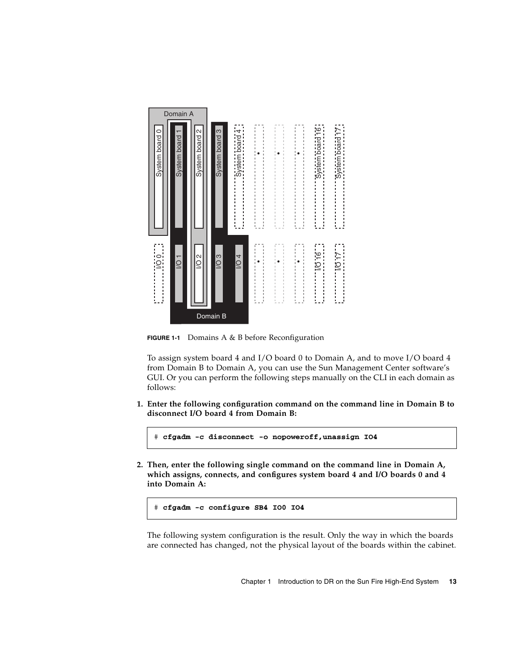

**FIGURE 1-1** Domains A & B before Reconfiguration

To assign system board 4 and I/O board 0 to Domain A, and to move I/O board 4 from Domain B to Domain A, you can use the Sun Management Center software's GUI. Or you can perform the following steps manually on the CLI in each domain as follows:

**1. Enter the following configuration command on the command line in Domain B to disconnect I/O board 4 from Domain B:**

# **cfgadm -c disconnect -o nopoweroff,unassign IO4**

**2. Then, enter the following single command on the command line in Domain A, which assigns, connects, and configures system board 4 and I/O boards 0 and 4 into Domain A:**

The following system configuration is the result. Only the way in which the boards are connected has changed, not the physical layout of the boards within the cabinet.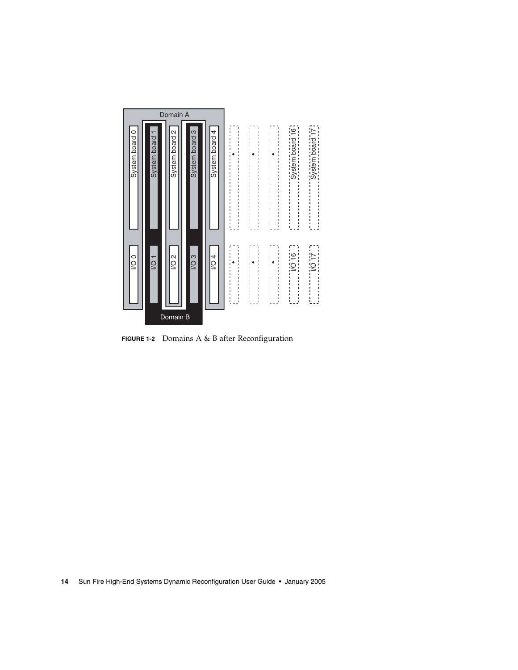

**FIGURE 1-2** Domains A & B after Reconfiguration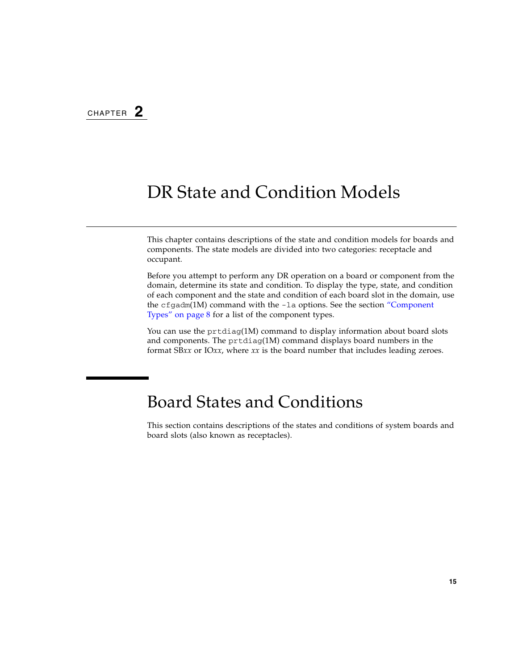# <span id="page-24-3"></span><span id="page-24-2"></span><span id="page-24-0"></span>DR State and Condition Models

<span id="page-24-5"></span>This chapter contains descriptions of the state and condition models for boards and components. The state models are divided into two categories: receptacle and occupant.

Before you attempt to perform any DR operation on a board or component from the domain, determine its state and condition. To display the type, state, and condition of each component and the state and condition of each board slot in the domain, use the  $cf$ gadm(1M) command with the  $-l$ a options. See the section "Component" [Types" on page](#page-17-3) 8 for a list of the component types.

<span id="page-24-6"></span>You can use the prtdiag(1M) command to display information about board slots and components. The prtdiag(1M) command displays board numbers in the format SB*xx* or IO*xx*, where *xx* is the board number that includes leading zeroes.

## <span id="page-24-1"></span>Board States and Conditions

<span id="page-24-4"></span>This section contains descriptions of the states and conditions of system boards and board slots (also known as receptacles).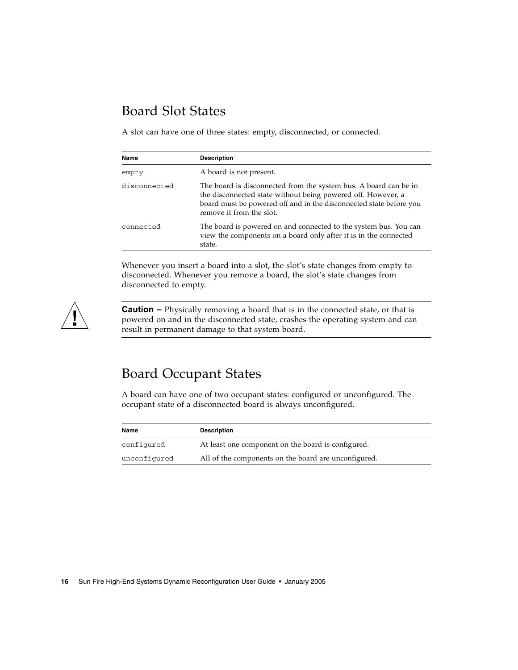## <span id="page-25-0"></span>Board Slot States

<span id="page-25-2"></span>A slot can have one of three states: empty, disconnected, or connected.

<span id="page-25-6"></span><span id="page-25-5"></span>

| Name         | <b>Description</b>                                                                                                                                                                                                                 |
|--------------|------------------------------------------------------------------------------------------------------------------------------------------------------------------------------------------------------------------------------------|
| empty        | A board is not present.                                                                                                                                                                                                            |
| disconnected | The board is disconnected from the system bus. A board can be in<br>the disconnected state without being powered off. However, a<br>board must be powered off and in the disconnected state before you<br>remove it from the slot. |
| connected    | The board is powered on and connected to the system bus. You can<br>view the components on a board only after it is in the connected<br>state.                                                                                     |

<span id="page-25-4"></span>Whenever you insert a board into a slot, the slot's state changes from empty to disconnected. Whenever you remove a board, the slot's state changes from disconnected to empty.



**Caution** – Physically removing a board that is in the connected state, or that is powered on and in the disconnected state, crashes the operating system and can result in permanent damage to that system board.

## <span id="page-25-1"></span>Board Occupant States

<span id="page-25-7"></span>A board can have one of two occupant states: configured or unconfigured. The occupant state of a disconnected board is always unconfigured.

<span id="page-25-8"></span><span id="page-25-3"></span>

| Name         | <b>Description</b>                                   |
|--------------|------------------------------------------------------|
| configured   | At least one component on the board is configured.   |
| unconfigured | All of the components on the board are unconfigured. |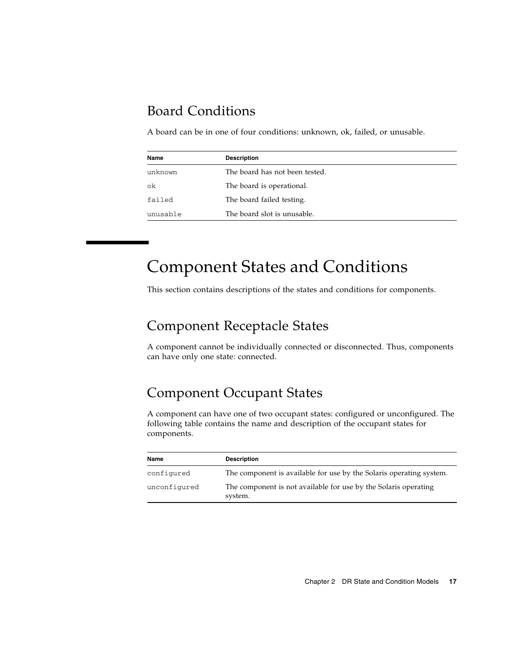## <span id="page-26-0"></span>Board Conditions

A board can be in one of four conditions: unknown, ok, failed, or unusable.

<span id="page-26-9"></span><span id="page-26-7"></span><span id="page-26-6"></span>

| Name     | <b>Description</b>             |  |  |
|----------|--------------------------------|--|--|
| unknown  | The board has not been tested. |  |  |
| ok       | The board is operational.      |  |  |
| failed   | The board failed testing.      |  |  |
| unusable | The board slot is unusable.    |  |  |

# <span id="page-26-10"></span><span id="page-26-1"></span>Component States and Conditions

<span id="page-26-4"></span>This section contains descriptions of the states and conditions for components.

## <span id="page-26-2"></span>Component Receptacle States

A component cannot be individually connected or disconnected. Thus, components can have only one state: connected.

## <span id="page-26-3"></span>Component Occupant States

A component can have one of two occupant states: configured or unconfigured. The following table contains the name and description of the occupant states for components.

<span id="page-26-8"></span><span id="page-26-5"></span>

| Name         | <b>Description</b>                                                         |
|--------------|----------------------------------------------------------------------------|
| configured   | The component is available for use by the Solaris operating system.        |
| unconfigured | The component is not available for use by the Solaris operating<br>system. |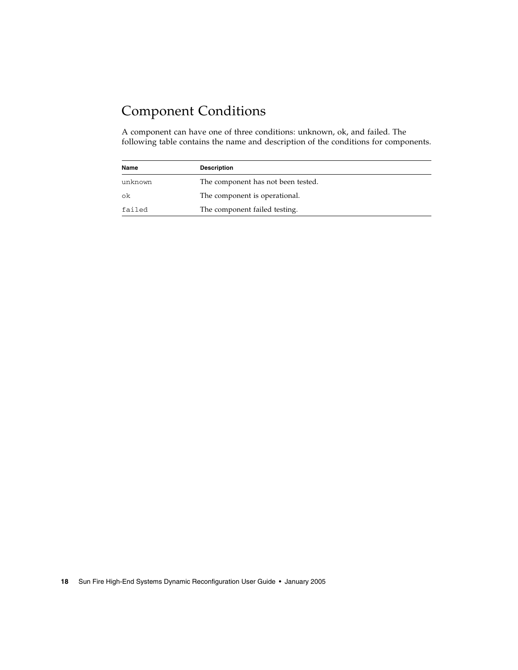## <span id="page-27-0"></span>Component Conditions

<span id="page-27-1"></span>A component can have one of three conditions: unknown, ok, and failed. The following table contains the name and description of the conditions for components.

<span id="page-27-4"></span><span id="page-27-3"></span><span id="page-27-2"></span>

| Name    | <b>Description</b>                 |  |
|---------|------------------------------------|--|
| unknown | The component has not been tested. |  |
| ok      | The component is operational.      |  |
| failed  | The component failed testing.      |  |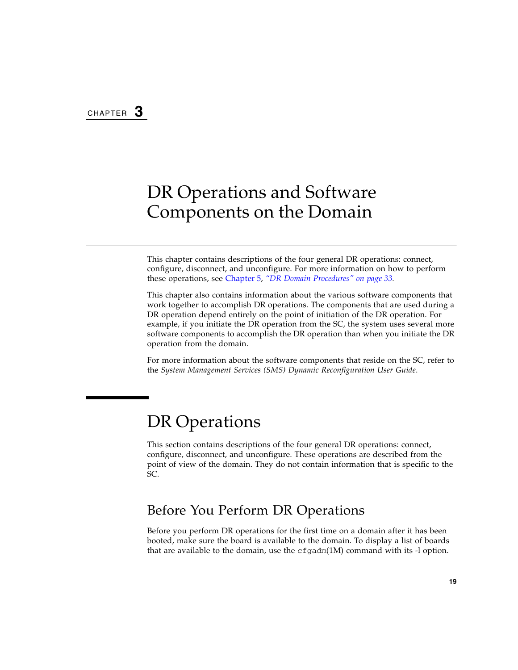# <span id="page-28-4"></span><span id="page-28-3"></span><span id="page-28-0"></span>DR Operations and Software Components on the Domain

This chapter contains descriptions of the four general DR operations: connect, configure, disconnect, and unconfigure. For more information on how to perform these operations, see [Chapter](#page-42-2) 5, *["DR Domain Procedures" on page](#page-42-3) 33.*

This chapter also contains information about the various software components that work together to accomplish DR operations. The components that are used during a DR operation depend entirely on the point of initiation of the DR operation. For example, if you initiate the DR operation from the SC, the system uses several more software components to accomplish the DR operation than when you initiate the DR operation from the domain.

For more information about the software components that reside on the SC, refer to the *System Management Services (SMS) Dynamic Reconfiguration User Guide*.

# <span id="page-28-1"></span>DR Operations

This section contains descriptions of the four general DR operations: connect, configure, disconnect, and unconfigure. These operations are described from the point of view of the domain. They do not contain information that is specific to the SC.

### <span id="page-28-2"></span>Before You Perform DR Operations

Before you perform DR operations for the first time on a domain after it has been booted, make sure the board is available to the domain. To display a list of boards that are available to the domain, use the  $cf$  gadm(1M) command with its -l option.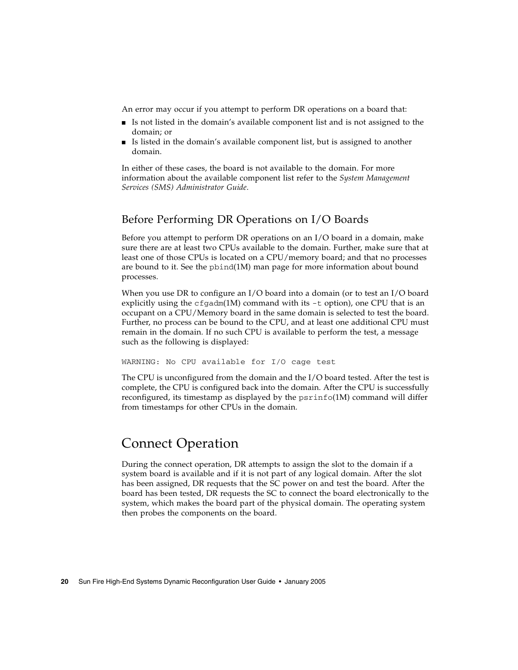<span id="page-29-2"></span>An error may occur if you attempt to perform DR operations on a board that:

- Is not listed in the domain's available component list and is not assigned to the domain; or
- Is listed in the domain's available component list, but is assigned to another domain.

In either of these cases, the board is not available to the domain. For more information about the available component list refer to the *System Management Services (SMS) Administrator Guide*.

### <span id="page-29-0"></span>Before Performing DR Operations on I/O Boards

<span id="page-29-4"></span>Before you attempt to perform DR operations on an I/O board in a domain, make sure there are at least two CPUs available to the domain. Further, make sure that at least one of those CPUs is located on a CPU/memory board; and that no processes are bound to it. See the pbind(1M) man page for more information about bound processes.

When you use DR to configure an I/O board into a domain (or to test an I/O board explicitly using the  $cf$   $adm(1M)$  command with its  $-t$  option), one CPU that is an occupant on a CPU/Memory board in the same domain is selected to test the board. Further, no process can be bound to the CPU, and at least one additional CPU must remain in the domain. If no such CPU is available to perform the test, a message such as the following is displayed:

WARNING: No CPU available for I/O cage test

The CPU is unconfigured from the domain and the I/O board tested. After the test is complete, the CPU is configured back into the domain. After the CPU is successfully reconfigured, its timestamp as displayed by the psrinfo(1M) command will differ from timestamps for other CPUs in the domain.

## <span id="page-29-1"></span>Connect Operation

<span id="page-29-3"></span>During the connect operation, DR attempts to assign the slot to the domain if a system board is available and if it is not part of any logical domain. After the slot has been assigned, DR requests that the SC power on and test the board. After the board has been tested, DR requests the SC to connect the board electronically to the system, which makes the board part of the physical domain. The operating system then probes the components on the board.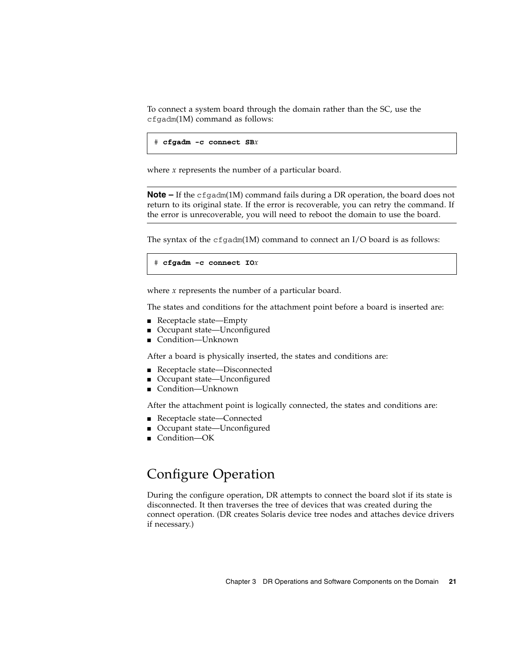<span id="page-30-1"></span>To connect a system board through the domain rather than the SC, use the cfgadm(1M) command as follows:

```
# cfgadm -c connect SBx
```
where *x* represents the number of a particular board.

**Note –** If the cfgadm(1M) command fails during a DR operation, the board does not return to its original state. If the error is recoverable, you can retry the command. If the error is unrecoverable, you will need to reboot the domain to use the board.

The syntax of the  $cf$ gadm(1M) command to connect an I/O board is as follows:

# **cfgadm -c connect IO***x*

where *x* represents the number of a particular board.

The states and conditions for the attachment point before a board is inserted are:

- Receptacle state—Empty
- Occupant state—Unconfigured
- Condition—Unknown

After a board is physically inserted, the states and conditions are:

- Receptacle state—Disconnected
- Occupant state—Unconfigured
- Condition-Unknown

After the attachment point is logically connected, the states and conditions are:

- Receptacle state—Connected
- Occupant state—Unconfigured
- Condition—OK

## <span id="page-30-0"></span>Configure Operation

<span id="page-30-2"></span>During the configure operation, DR attempts to connect the board slot if its state is disconnected. It then traverses the tree of devices that was created during the connect operation. (DR creates Solaris device tree nodes and attaches device drivers if necessary.)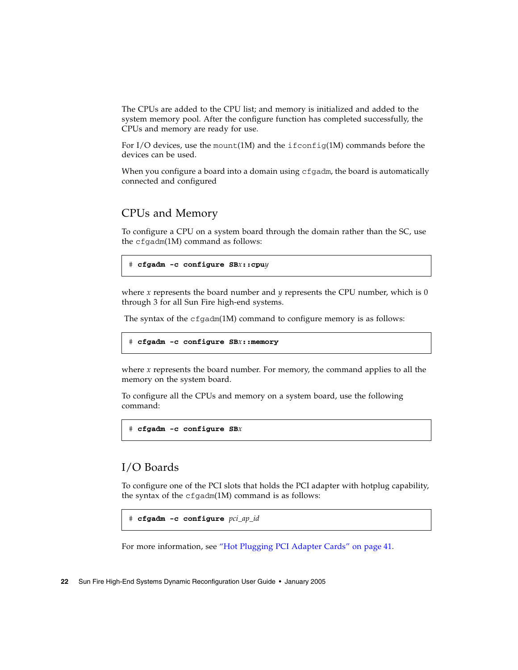The CPUs are added to the CPU list; and memory is initialized and added to the system memory pool. After the configure function has completed successfully, the CPUs and memory are ready for use.

<span id="page-31-6"></span><span id="page-31-5"></span>For I/O devices, use the mount(1M) and the  $ifconfig(1M)$  commands before the devices can be used.

When you configure a board into a domain using  $cf$  gadm, the board is automatically connected and configured

### <span id="page-31-0"></span>CPUs and Memory

<span id="page-31-2"></span>To configure a CPU on a system board through the domain rather than the SC, use the cfgadm(1M) command as follows:

```
# cfgadm -c configure SBx::cpuy
```
where *x* represents the board number and *y* represents the CPU number, which is 0 through 3 for all Sun Fire high-end systems.

<span id="page-31-4"></span>The syntax of the  $cf$   $q$   $adm(1M)$  command to configure memory is as follows:

```
# cfgadm -c configure SBx::memory
```
where *x* represents the board number. For memory, the command applies to all the memory on the system board.

To configure all the CPUs and memory on a system board, use the following command:

```
# cfgadm -c configure SBx
```
### <span id="page-31-1"></span>I/O Boards

<span id="page-31-3"></span>To configure one of the PCI slots that holds the PCI adapter with hotplug capability, the syntax of the cfgadm(1M) command is as follows:

```
# cfgadm -c configure pci_ap_id
```
For more information, see ["Hot Plugging PCI Adapter Cards" on page](#page-50-2) 41.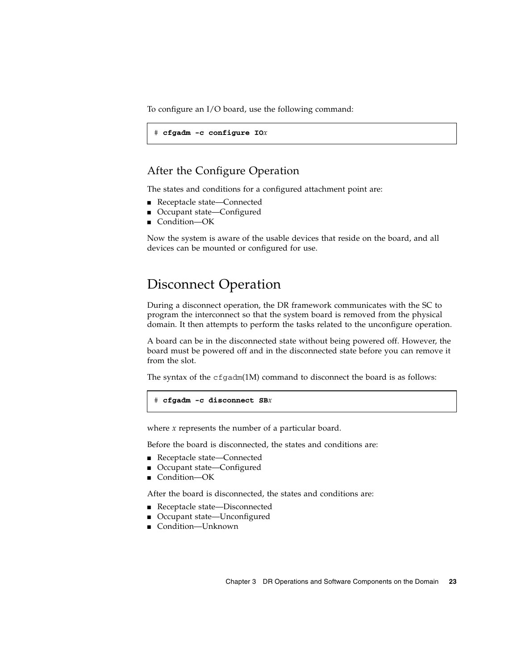To configure an I/O board, use the following command:

```
# cfgadm -c configure IOx
```
#### <span id="page-32-0"></span>After the Configure Operation

<span id="page-32-2"></span>The states and conditions for a configured attachment point are:

- Receptacle state—Connected
- Occupant state—Configured
- Condition—OK

Now the system is aware of the usable devices that reside on the board, and all devices can be mounted or configured for use.

### <span id="page-32-1"></span>Disconnect Operation

<span id="page-32-3"></span>During a disconnect operation, the DR framework communicates with the SC to program the interconnect so that the system board is removed from the physical domain. It then attempts to perform the tasks related to the unconfigure operation.

A board can be in the disconnected state without being powered off. However, the board must be powered off and in the disconnected state before you can remove it from the slot.

The syntax of the  $cf$ gadm(1M) command to disconnect the board is as follows:

```
# cfgadm -c disconnect SBx
```
where *x* represents the number of a particular board.

Before the board is disconnected, the states and conditions are:

- Receptacle state—Connected
- Occupant state—Configured
- Condition—OK

After the board is disconnected, the states and conditions are:

- Receptacle state—Disconnected
- Occupant state—Unconfigured
- Condition—Unknown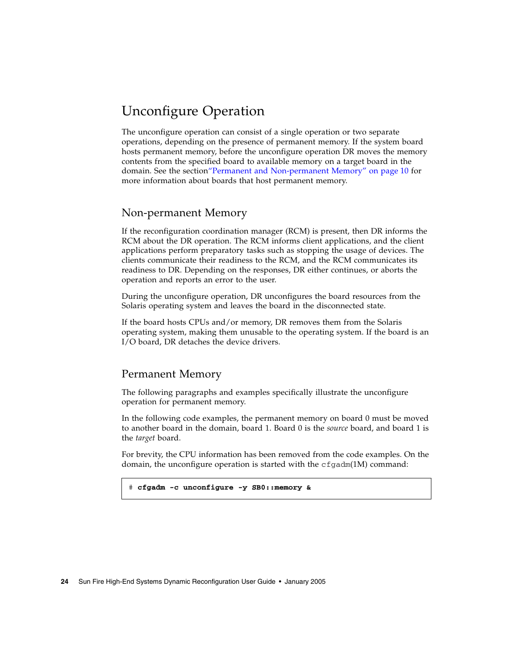## <span id="page-33-0"></span>Unconfigure Operation

<span id="page-33-6"></span>The unconfigure operation can consist of a single operation or two separate operations, depending on the presence of permanent memory. If the system board hosts permanent memory, before the unconfigure operation DR moves the memory contents from the specified board to available memory on a target board in the domain. See the sectio[n"Permanent and Non-permanent Memory" on page](#page-19-3) 10 for more information about boards that host permanent memory.

### <span id="page-33-1"></span>Non-permanent Memory

<span id="page-33-4"></span>If the reconfiguration coordination manager (RCM) is present, then DR informs the RCM about the DR operation. The RCM informs client applications, and the client applications perform preparatory tasks such as stopping the usage of devices. The clients communicate their readiness to the RCM, and the RCM communicates its readiness to DR. Depending on the responses, DR either continues, or aborts the operation and reports an error to the user.

During the unconfigure operation, DR unconfigures the board resources from the Solaris operating system and leaves the board in the disconnected state.

If the board hosts CPUs and/or memory, DR removes them from the Solaris operating system, making them unusable to the operating system. If the board is an I/O board, DR detaches the device drivers.

#### <span id="page-33-5"></span><span id="page-33-2"></span>Permanent Memory

The following paragraphs and examples specifically illustrate the unconfigure operation for permanent memory.

In the following code examples, the permanent memory on board 0 must be moved to another board in the domain, board 1. Board 0 is the *source* board, and board 1 is the *target* board.

For brevity, the CPU information has been removed from the code examples. On the domain, the unconfigure operation is started with the  $cf$ gadm(1M) command:

```
# cfgadm -c unconfigure -y SB0::memory &
```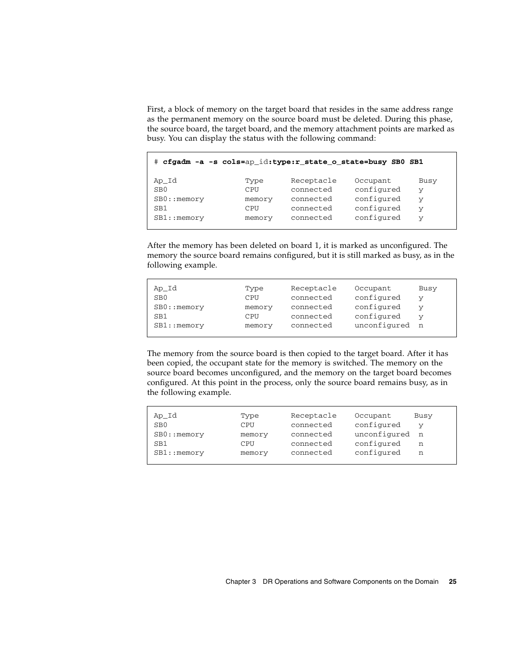First, a block of memory on the target board that resides in the same address range as the permanent memory on the source board must be deleted. During this phase, the source board, the target board, and the memory attachment points are marked as busy. You can display the status with the following command:

| # cfgadm -a -s cols=ap_id:type:r_state_o_state=busy_SB0_SB1 |        |            |            |      |  |
|-------------------------------------------------------------|--------|------------|------------|------|--|
| Ap_Id                                                       | Type   | Receptacle | Occupant   | Busy |  |
| SB <sub>0</sub>                                             | CPII   | connected  | configured | v    |  |
| $SB0:$ : memory                                             | memory | connected  | configured | V    |  |
| SB1                                                         | CPII   | connected  | configured | V    |  |
| $SB1:$ : memory                                             | memory | connected  | configured | v    |  |

After the memory has been deleted on board 1, it is marked as unconfigured. The memory the source board remains configured, but it is still marked as busy, as in the following example.

| Ap_Id<br>SB <sub>0</sub><br>$SB0:$ : memory<br>SB1 | Type<br>CPU<br>memory<br>CPU | Receptacle<br>connected<br>connected<br>connected | Occupant<br>configured<br>configured<br>configured | Busy<br>v |
|----------------------------------------------------|------------------------------|---------------------------------------------------|----------------------------------------------------|-----------|
| SB1:memory                                         | memory                       | connected                                         | unconfigured                                       | n n       |

The memory from the source board is then copied to the target board. After it has been copied, the occupant state for the memory is switched. The memory on the source board becomes unconfigured, and the memory on the target board becomes configured. At this point in the process, only the source board remains busy, as in the following example.

| Ap_Id           | Type   | Receptacle | Occupant     | Busy |
|-----------------|--------|------------|--------------|------|
| SB <sub>0</sub> | CPU    | connected  | configured   | v    |
| $SB0:$ : memory | memory | connected  | unconfigured | n    |
| SB1             | CPU    | connected  | configured   | n    |
| $SB1:$ : memory | memory | connected  | configured   | n    |
|                 |        |            |              |      |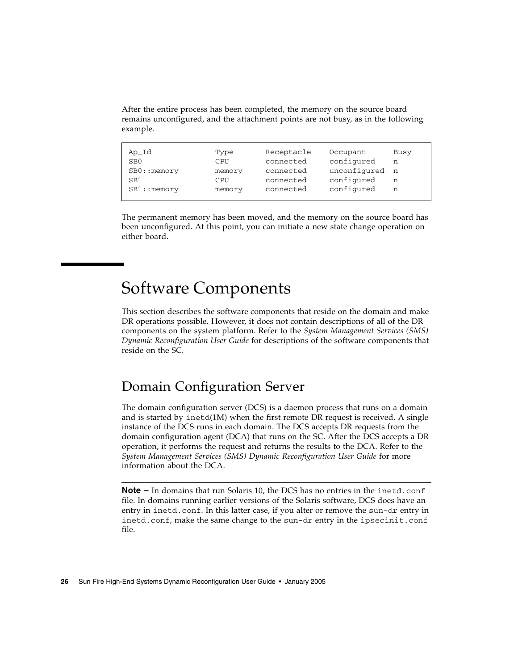<span id="page-35-2"></span>After the entire process has been completed, the memory on the source board remains unconfigured, and the attachment points are not busy, as in the following example.

| Ap_Id           | Type   | Receptacle | Occupant     | Busy |
|-----------------|--------|------------|--------------|------|
| SB0             | CPU    | connected  | configured   | n    |
| $SB0:$ : memory | memory | connected  | unconfigured | n    |
| SB1             | CPU    | connected  | configured   | n    |
| $SB1:$ : memory | memory | connected  | configured   | n    |

The permanent memory has been moved, and the memory on the source board has been unconfigured. At this point, you can initiate a new state change operation on either board.

# <span id="page-35-0"></span>Software Components

This section describes the software components that reside on the domain and make DR operations possible. However, it does not contain descriptions of all of the DR components on the system platform. Refer to the *System Management Services (SMS) Dynamic Reconfiguration User Guide* for descriptions of the software components that reside on the SC.

## <span id="page-35-1"></span>Domain Configuration Server

<span id="page-35-6"></span><span id="page-35-5"></span><span id="page-35-4"></span><span id="page-35-3"></span>The domain configuration server (DCS) is a daemon process that runs on a domain and is started by  $inetd(M)$  when the first remote DR request is received. A single instance of the DCS runs in each domain. The DCS accepts DR requests from the domain configuration agent (DCA) that runs on the SC. After the DCS accepts a DR operation, it performs the request and returns the results to the DCA. Refer to the *System Management Services (SMS) Dynamic Reconfiguration User Guide* for more information about the DCA.

**Note –** In domains that run Solaris 10, the DCS has no entries in the inetd.conf file. In domains running earlier versions of the Solaris software, DCS does have an entry in inetd.conf. In this latter case, if you alter or remove the sun-dr entry in inetd.conf, make the same change to the sun-dr entry in the ipsecinit.conf file.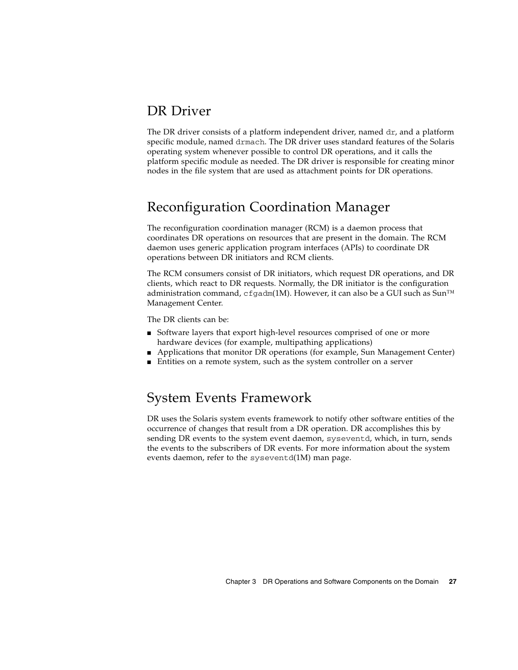### <span id="page-36-0"></span>DR Driver

<span id="page-36-5"></span><span id="page-36-4"></span>The DR driver consists of a platform independent driver, named  $dr$ , and a platform specific module, named drmach. The DR driver uses standard features of the Solaris operating system whenever possible to control DR operations, and it calls the platform specific module as needed. The DR driver is responsible for creating minor nodes in the file system that are used as attachment points for DR operations.

## <span id="page-36-1"></span>Reconfiguration Coordination Manager

<span id="page-36-7"></span>The reconfiguration coordination manager (RCM) is a daemon process that coordinates DR operations on resources that are present in the domain. The RCM daemon uses generic application program interfaces (APIs) to coordinate DR operations between DR initiators and RCM clients.

<span id="page-36-6"></span>The RCM consumers consist of DR initiators, which request DR operations, and DR clients, which react to DR requests. Normally, the DR initiator is the configuration administration command, cfgadm(1M). However, it can also be a GUI such as  $Sun^{TM}$ Management Center.

<span id="page-36-3"></span>The DR clients can be:

- Software layers that export high-level resources comprised of one or more hardware devices (for example, multipathing applications)
- Applications that monitor DR operations (for example, Sun Management Center)
- Entities on a remote system, such as the system controller on a server

### <span id="page-36-2"></span>System Events Framework

<span id="page-36-9"></span><span id="page-36-8"></span>DR uses the Solaris system events framework to notify other software entities of the occurrence of changes that result from a DR operation. DR accomplishes this by sending DR events to the system event daemon, syseventd, which, in turn, sends the events to the subscribers of DR events. For more information about the system events daemon, refer to the syseventd(1M) man page.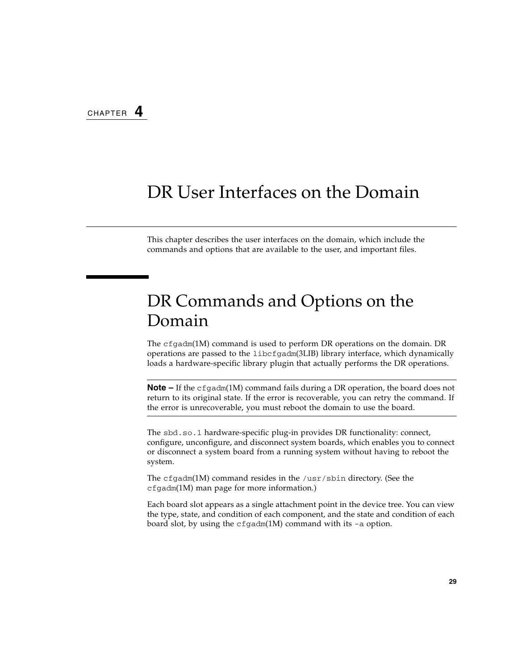# <span id="page-38-3"></span><span id="page-38-2"></span><span id="page-38-0"></span>DR User Interfaces on the Domain

<span id="page-38-8"></span><span id="page-38-7"></span><span id="page-38-5"></span>This chapter describes the user interfaces on the domain, which include the commands and options that are available to the user, and important files.

# <span id="page-38-1"></span>DR Commands and Options on the Domain

The cfgadm(1M) command is used to perform DR operations on the domain. DR operations are passed to the libcfgadm(3LIB) library interface, which dynamically loads a hardware-specific library plugin that actually performs the DR operations.

**Note –** If the cfgadm(1M) command fails during a DR operation, the board does not return to its original state. If the error is recoverable, you can retry the command. If the error is unrecoverable, you must reboot the domain to use the board.

<span id="page-38-6"></span>The sbd.so.1 hardware-specific plug-in provides DR functionality: connect, configure, unconfigure, and disconnect system boards, which enables you to connect or disconnect a system board from a running system without having to reboot the system.

The cfgadm(1M) command resides in the /usr/sbin directory. (See the cfgadm(1M) man page for more information.)

<span id="page-38-4"></span>Each board slot appears as a single attachment point in the device tree. You can view the type, state, and condition of each component, and the state and condition of each board slot, by using the cfgadm(1M) command with its -a option.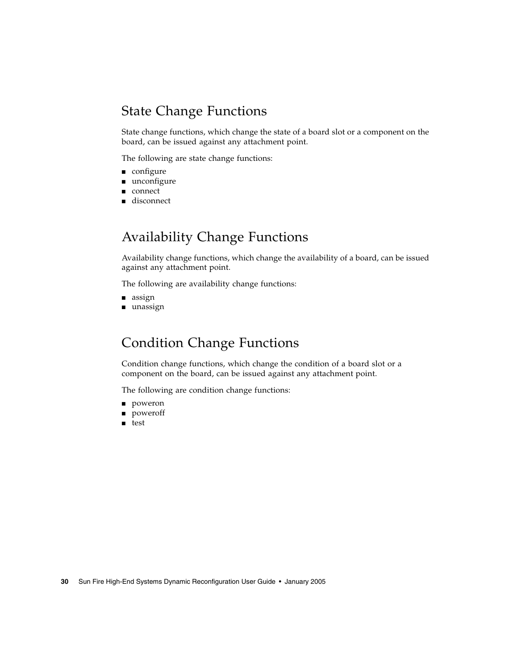## <span id="page-39-0"></span>State Change Functions

<span id="page-39-6"></span>State change functions, which change the state of a board slot or a component on the board, can be issued against any attachment point.

<span id="page-39-5"></span>The following are state change functions:

- configure
- unconfigure
- connect
- disconnect

## <span id="page-39-1"></span>Availability Change Functions

<span id="page-39-3"></span>Availability change functions, which change the availability of a board, can be issued against any attachment point.

The following are availability change functions:

- assign
- unassign

### <span id="page-39-2"></span>Condition Change Functions

<span id="page-39-4"></span>Condition change functions, which change the condition of a board slot or a component on the board, can be issued against any attachment point.

The following are condition change functions:

- poweron
- poweroff
- test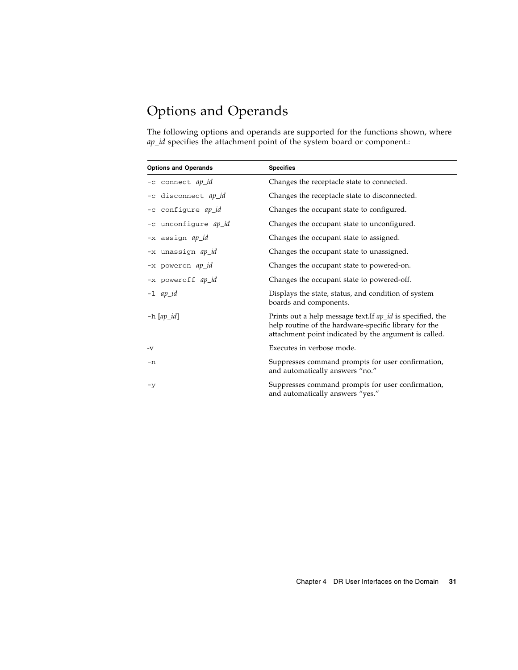## <span id="page-40-0"></span>Options and Operands

<span id="page-40-2"></span><span id="page-40-1"></span>The following options and operands are supported for the functions shown, where *ap\_id* specifies the attachment point of the system board or component.:

| <b>Options and Operands</b> | <b>Specifies</b>                                                                                                                                                             |
|-----------------------------|------------------------------------------------------------------------------------------------------------------------------------------------------------------------------|
| -c connect ap_id            | Changes the receptacle state to connected.                                                                                                                                   |
| -c disconnect ap_id         | Changes the receptacle state to disconnected.                                                                                                                                |
| -c configure ap_id          | Changes the occupant state to configured.                                                                                                                                    |
| -c unconfigure ap_id        | Changes the occupant state to unconfigured.                                                                                                                                  |
| -x assign ap_id             | Changes the occupant state to assigned.                                                                                                                                      |
| -x unassign ap_id           | Changes the occupant state to unassigned.                                                                                                                                    |
| -x poweron ap_id            | Changes the occupant state to powered-on.                                                                                                                                    |
| -x poweroff ap_id           | Changes the occupant state to powered-off.                                                                                                                                   |
| $-1$ ap_id                  | Displays the state, status, and condition of system<br>boards and components.                                                                                                |
| $-h$ [ap_id]                | Prints out a help message text. If ap_id is specified, the<br>help routine of the hardware-specific library for the<br>attachment point indicated by the argument is called. |
| -V                          | Executes in verbose mode.                                                                                                                                                    |
| $-n$                        | Suppresses command prompts for user confirmation,<br>and automatically answers "no."                                                                                         |
| $-y$                        | Suppresses command prompts for user confirmation,<br>and automatically answers "yes."                                                                                        |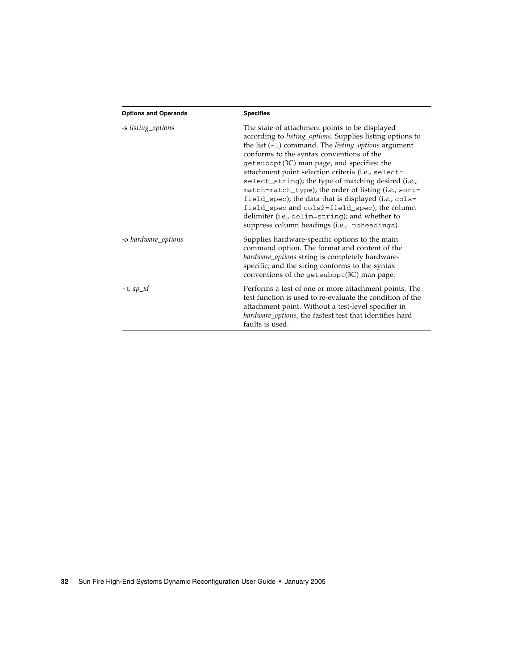| <b>Options and Operands</b> | <b>Specifies</b>                                                                                                                                                                                                                                                                                                                                                                                                                                                                                                                                                                                                                                      |  |
|-----------------------------|-------------------------------------------------------------------------------------------------------------------------------------------------------------------------------------------------------------------------------------------------------------------------------------------------------------------------------------------------------------------------------------------------------------------------------------------------------------------------------------------------------------------------------------------------------------------------------------------------------------------------------------------------------|--|
| -s listing_options          | The state of attachment points to be displayed<br>according to listing_options. Supplies listing options to<br>the list $(-1)$ command. The <i>listing_options</i> argument<br>conforms to the syntax conventions of the<br>getsubopt(3C) man page, and specifies: the<br>attachment point selection criteria (i.e., select=<br>select_string); the type of matching desired (i.e.,<br>match=match_type); the order of listing (i.e., sort=<br>field_spec); the data that is displayed (i.e., cols=<br>field_spec and cols2=field_spec); the column<br>delimiter (i.e., delim=string); and whether to<br>suppress column headings (i.e., noheadings). |  |
| -o hardware_options         | Supplies hardware-specific options to the main<br>command option. The format and content of the<br>hardware_options string is completely hardware-<br>specific; and the string conforms to the syntax<br>conventions of the getsubopt(3C) man page.                                                                                                                                                                                                                                                                                                                                                                                                   |  |
| $-t$ ap_id                  | Performs a test of one or more attachment points. The<br>test function is used to re-evaluate the condition of the<br>attachment point. Without a test-level specifier in<br>hardware_options, the fastest test that identifies hard<br>faults is used.                                                                                                                                                                                                                                                                                                                                                                                               |  |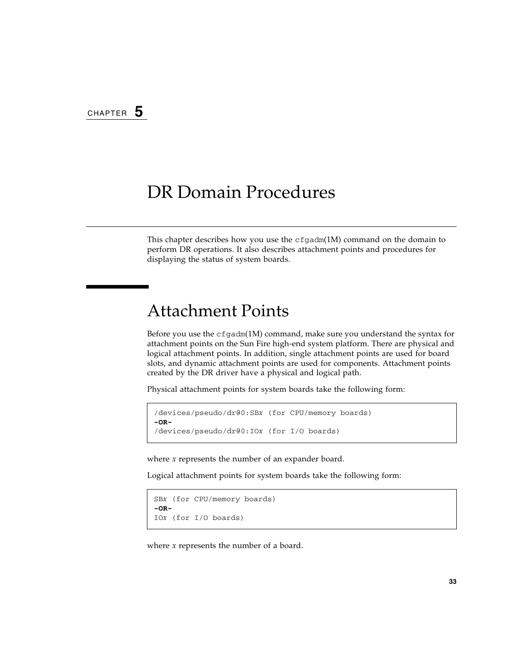## <span id="page-42-3"></span><span id="page-42-2"></span><span id="page-42-0"></span>DR Domain Procedures

This chapter describes how you use the  $cf$  gadm(1M) command on the domain to perform DR operations. It also describes attachment points and procedures for displaying the status of system boards.

## <span id="page-42-4"></span><span id="page-42-1"></span>Attachment Points

Before you use the  $cf$ gadm(1M) command, make sure you understand the syntax for attachment points on the Sun Fire high-end system platform. There are physical and logical attachment points. In addition, single attachment points are used for board slots, and dynamic attachment points are used for components. Attachment points created by the DR driver have a physical and logical path.

Physical attachment points for system boards take the following form:

```
/devices/pseudo/dr@0:SBx (for CPU/memory boards)
-OR-
/devices/pseudo/dr@0:IOx (for I/O boards)
```
where *x* represents the number of an expander board.

Logical attachment points for system boards take the following form:

```
SBx (for CPU/memory boards)
-OR-
IOx (for I/O boards)
```
where *x* represents the number of a board.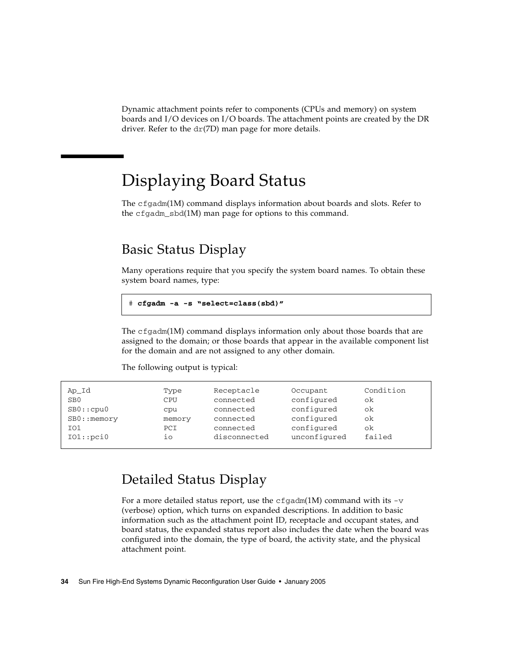<span id="page-43-4"></span>Dynamic attachment points refer to components (CPUs and memory) on system boards and I/O devices on I/O boards. The attachment points are created by the DR driver. Refer to the dr(7D) man page for more details.

# <span id="page-43-0"></span>Displaying Board Status

<span id="page-43-3"></span>The cfgadm(1M) command displays information about boards and slots. Refer to the cfgadm\_sbd(1M) man page for options to this command.

## <span id="page-43-1"></span>Basic Status Display

<span id="page-43-5"></span>Many operations require that you specify the system board names. To obtain these system board names, type:

```
# cfgadm -a -s "select=class(sbd)"
```
The  $cf$ gadm $(1M)$  command displays information only about those boards that are assigned to the domain; or those boards that appear in the available component list for the domain and are not assigned to any other domain.

| Ap Id           | Type   | Receptacle   | Occupant     | Condition |
|-----------------|--------|--------------|--------------|-----------|
| SB <sub>0</sub> | CPU    | connected    | configured   | ok        |
| SB0::cpu0       | cpu    | connected    | configured   | ok        |
| $SB0:$ : memory | memory | connected    | configured   | ok        |
| IO1             | PCI    | connected    | configured   | ok        |
| IO1::pci0       | 10     | disconnected | unconfigured | failed    |

The following output is typical:

## <span id="page-43-2"></span>Detailed Status Display

<span id="page-43-6"></span>For a more detailed status report, use the  $cf$  gadm(1M) command with its  $-v$ (verbose) option, which turns on expanded descriptions. In addition to basic information such as the attachment point ID, receptacle and occupant states, and board status, the expanded status report also includes the date when the board was configured into the domain, the type of board, the activity state, and the physical attachment point.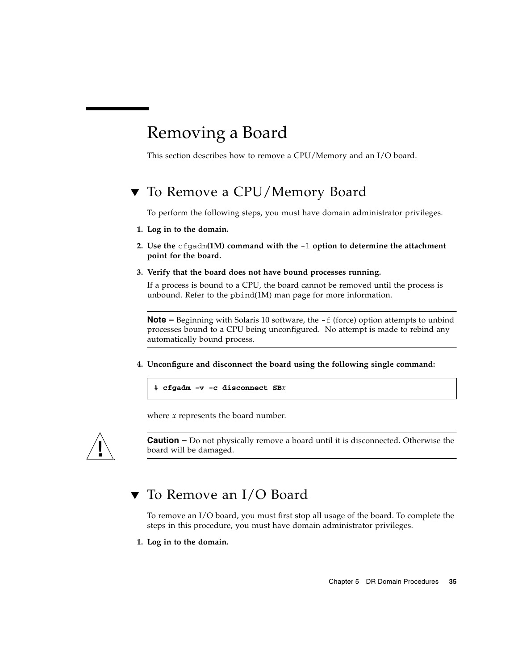# <span id="page-44-3"></span><span id="page-44-0"></span>Removing a Board

<span id="page-44-4"></span>This section describes how to remove a CPU/Memory and an I/O board.

## <span id="page-44-1"></span>▼ To Remove a CPU/Memory Board

To perform the following steps, you must have domain administrator privileges.

- **1. Log in to the domain.**
- **2. Use the** cfgadm**(1M) command with the** -l **option to determine the attachment point for the board.**
- **3. Verify that the board does not have bound processes running.**

If a process is bound to a CPU, the board cannot be removed until the process is unbound. Refer to the pbind(1M) man page for more information.

**Note –** Beginning with Solaris 10 software, the  $-f$  (force) option attempts to unbind processes bound to a CPU being unconfigured. No attempt is made to rebind any automatically bound process.

**4. Unconfigure and disconnect the board using the following single command:** 

# **cfgadm -v -c disconnect SB***x*

where *x* represents the board number.



**Caution –** Do not physically remove a board until it is disconnected. Otherwise the board will be damaged.

## <span id="page-44-2"></span>▼ To Remove an I/O Board

To remove an I/O board, you must first stop all usage of the board. To complete the steps in this procedure, you must have domain administrator privileges.

**1. Log in to the domain.**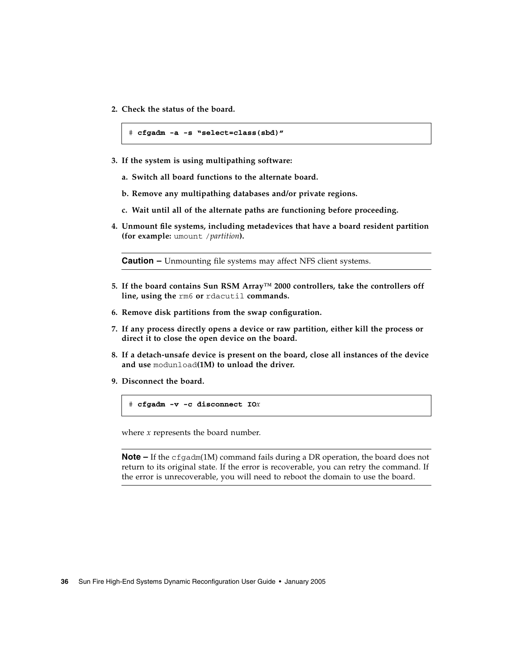**2. Check the status of the board.**

```
# cfgadm -a -s "select=class(sbd)"
```
- **3. If the system is using multipathing software:**
	- **a. Switch all board functions to the alternate board.**
	- **b. Remove any multipathing databases and/or private regions.**
	- **c. Wait until all of the alternate paths are functioning before proceeding.**
- **4. Unmount file systems, including metadevices that have a board resident partition (for example:** umount /*partition***).**

**Caution –** Unmounting file systems may affect NFS client systems.

- **5. If the board contains Sun RSM Array™ 2000 controllers, take the controllers off line, using the** rm6 **or** rdacutil **commands.**
- **6. Remove disk partitions from the swap configuration.**
- **7. If any process directly opens a device or raw partition, either kill the process or direct it to close the open device on the board.**
- **8. If a detach-unsafe device is present on the board, close all instances of the device and use** modunload**(1M) to unload the driver.**
- **9. Disconnect the board.**

```
# cfgadm -v -c disconnect IOx
```
where *x* represents the board number.

**Note –** If the cfgadm(1M) command fails during a DR operation, the board does not return to its original state. If the error is recoverable, you can retry the command. If the error is unrecoverable, you will need to reboot the domain to use the board.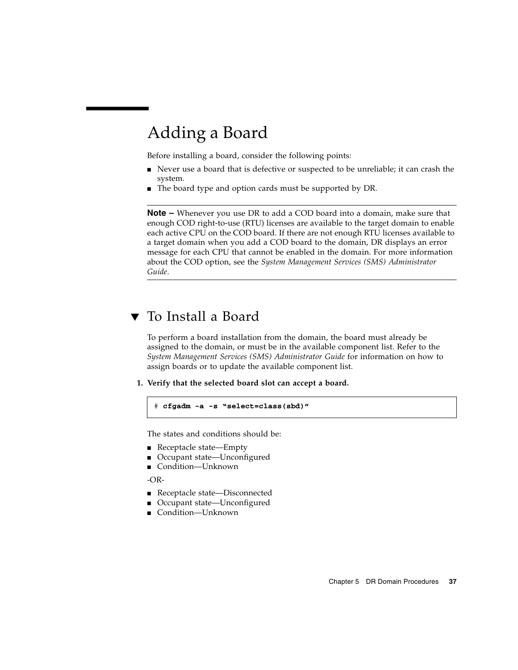# <span id="page-46-2"></span><span id="page-46-0"></span>Adding a Board

<span id="page-46-3"></span>Before installing a board, consider the following points:

- Never use a board that is defective or suspected to be unreliable; it can crash the system.
- The board type and option cards must be supported by DR.

<span id="page-46-4"></span>**Note –** Whenever you use DR to add a COD board into a domain, make sure that enough COD right-to-use (RTU) licenses are available to the target domain to enable each active CPU on the COD board. If there are not enough RTU licenses available to a target domain when you add a COD board to the domain, DR displays an error message for each CPU that cannot be enabled in the domain. For more information about the COD option, see the *System Management Services (SMS) Administrator Guide*.

## <span id="page-46-1"></span>▼ To Install a Board

To perform a board installation from the domain, the board must already be assigned to the domain, or must be in the available component list. Refer to the *System Management Services (SMS) Administrator Guide* for information on how to assign boards or to update the available component list.

**1. Verify that the selected board slot can accept a board.** 

```
# cfgadm -a -s "select=class(sbd)"
```
The states and conditions should be:

- Receptacle state—Empty
- Occupant state—Unconfigured
- Condition—Unknown

 $-OR-$ 

- Receptacle state—Disconnected
- Occupant state—Unconfigured
- Condition—Unknown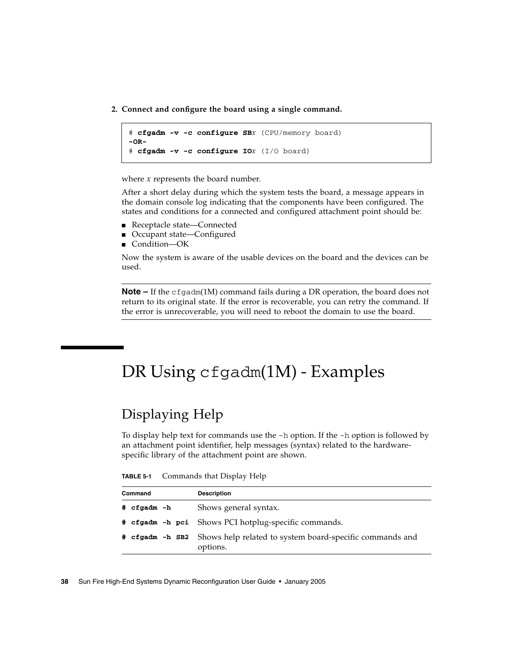**2. Connect and configure the board using a single command.**

```
# cfgadm -v -c configure SBx (CPU/memory board)
-OR-
# cfgadm -v -c configure IOx (I/O board)
```
where *x* represents the board number.

After a short delay during which the system tests the board, a message appears in the domain console log indicating that the components have been configured. The states and conditions for a connected and configured attachment point should be:

- Receptacle state—Connected
- Occupant state—Configured
- Condition—OK

Now the system is aware of the usable devices on the board and the devices can be used.

**Note –** If the cfgadm(1M) command fails during a DR operation, the board does not return to its original state. If the error is recoverable, you can retry the command. If the error is unrecoverable, you will need to reboot the domain to use the board.

# <span id="page-47-2"></span><span id="page-47-0"></span>DR Using cfgadm(1M) - Examples

## <span id="page-47-3"></span><span id="page-47-1"></span>Displaying Help

To display help text for commands use the -h option. If the -h option is followed by an attachment point identifier, help messages (syntax) related to the hardwarespecific library of the attachment point are shown.

| TABLE 5-1 | Commands that Display Help |  |  |
|-----------|----------------------------|--|--|
|-----------|----------------------------|--|--|

| Command     | <b>Description</b>                                                                   |
|-------------|--------------------------------------------------------------------------------------|
| # cfgadm -h | Shows general syntax.                                                                |
|             | # cfgadm -h pci Shows PCI hotplug-specific commands.                                 |
|             | # cfgadm -h SB2 Shows help related to system board-specific commands and<br>options. |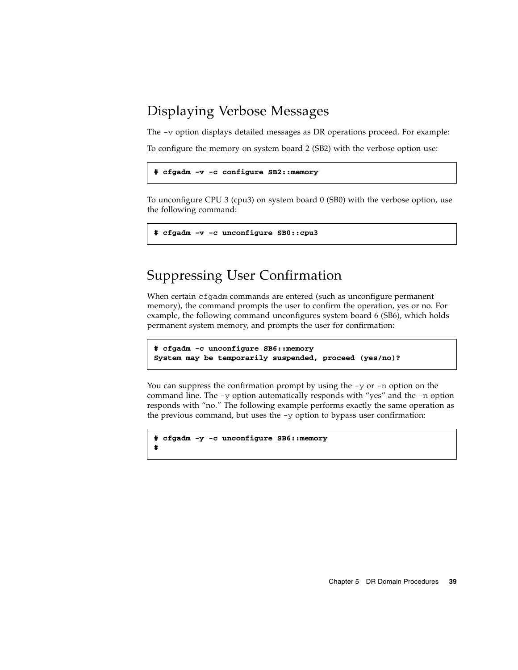## <span id="page-48-3"></span><span id="page-48-0"></span>Displaying Verbose Messages

The -v option displays detailed messages as DR operations proceed. For example:

To configure the memory on system board 2 (SB2) with the verbose option use:

```
# cfgadm -v -c configure SB2::memory
```
To unconfigure CPU 3 (cpu3) on system board 0 (SB0) with the verbose option, use the following command:

```
# cfgadm -v -c unconfigure SB0::cpu3
```
## <span id="page-48-1"></span>Suppressing User Confirmation

When certain cfgadm commands are entered (such as unconfigure permanent memory), the command prompts the user to confirm the operation, yes or no. For example, the following command unconfigures system board 6 (SB6), which holds permanent system memory, and prompts the user for confirmation:

```
# cfgadm -c unconfigure SB6::memory
System may be temporarily suspended, proceed (yes/no)?
```
You can suppress the confirmation prompt by using the  $-y$  or  $-n$  option on the command line. The -y option automatically responds with "yes" and the -n option responds with "no." The following example performs exactly the same operation as the previous command, but uses the  $-y$  option to bypass user confirmation:

```
# cfgadm -y -c unconfigure SB6::memory
```
**#**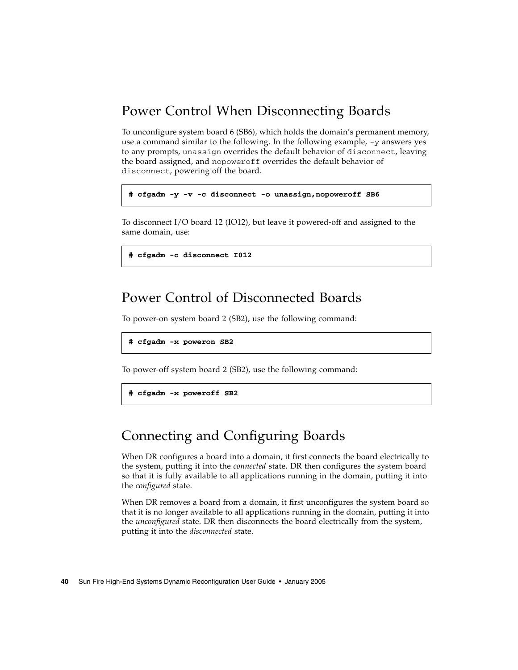## <span id="page-49-4"></span><span id="page-49-0"></span>Power Control When Disconnecting Boards

To unconfigure system board 6 (SB6), which holds the domain's permanent memory, use a command similar to the following. In the following example, -y answers yes to any prompts, unassign overrides the default behavior of disconnect, leaving the board assigned, and nopoweroff overrides the default behavior of disconnect, powering off the board.

```
# cfgadm -y -v -c disconnect -o unassign,nopoweroff SB6
```
To disconnect I/O board 12 (IO12), but leave it powered-off and assigned to the same domain, use:

<span id="page-49-3"></span>**# cfgadm -c disconnect I012**

## <span id="page-49-1"></span>Power Control of Disconnected Boards

To power-on system board 2 (SB2), use the following command:

```
# cfgadm -x poweron SB2
```
To power-off system board 2 (SB2), use the following command:

```
# cfgadm -x poweroff SB2
```
## <span id="page-49-2"></span>Connecting and Configuring Boards

When DR configures a board into a domain, it first connects the board electrically to the system, putting it into the *connected* state. DR then configures the system board so that it is fully available to all applications running in the domain, putting it into the *configured* state.

When DR removes a board from a domain, it first unconfigures the system board so that it is no longer available to all applications running in the domain, putting it into the *unconfigured* state. DR then disconnects the board electrically from the system, putting it into the *disconnected* state.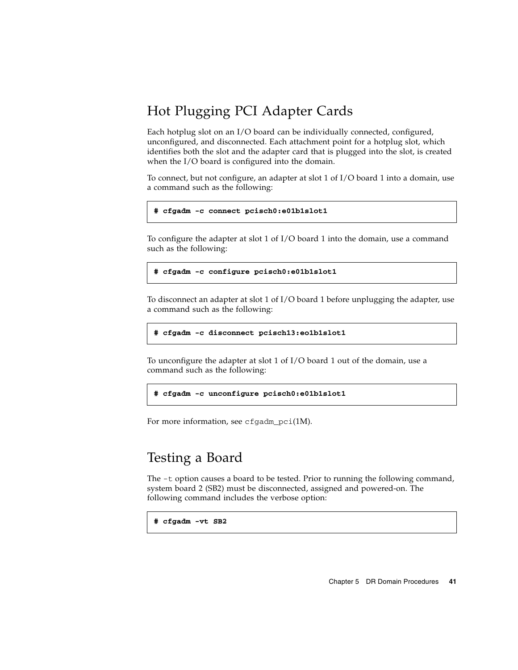## <span id="page-50-2"></span><span id="page-50-0"></span>Hot Plugging PCI Adapter Cards

Each hotplug slot on an I/O board can be individually connected, configured, unconfigured, and disconnected. Each attachment point for a hotplug slot, which identifies both the slot and the adapter card that is plugged into the slot, is created when the I/O board is configured into the domain.

To connect, but not configure, an adapter at slot 1 of I/O board 1 into a domain, use a command such as the following:

#### **# cfgadm -c connect pcisch0:e01b1slot1**

To configure the adapter at slot 1 of I/O board 1 into the domain, use a command such as the following:

**# cfgadm -c configure pcisch0:e01b1slot1**

To disconnect an adapter at slot 1 of  $I/O$  board 1 before unplugging the adapter, use a command such as the following:

**# cfgadm -c disconnect pcisch13:eo1b1slot1**

To unconfigure the adapter at slot 1 of I/O board 1 out of the domain, use a command such as the following:

**# cfgadm -c unconfigure pcisch0:e01b1slot1**

For more information, see  $cf$ gadm  $pc$ i(1M).

### <span id="page-50-3"></span><span id="page-50-1"></span>Testing a Board

The -t option causes a board to be tested. Prior to running the following command, system board 2 (SB2) must be disconnected, assigned and powered-on. The following command includes the verbose option:

```
# cfgadm -vt SB2
```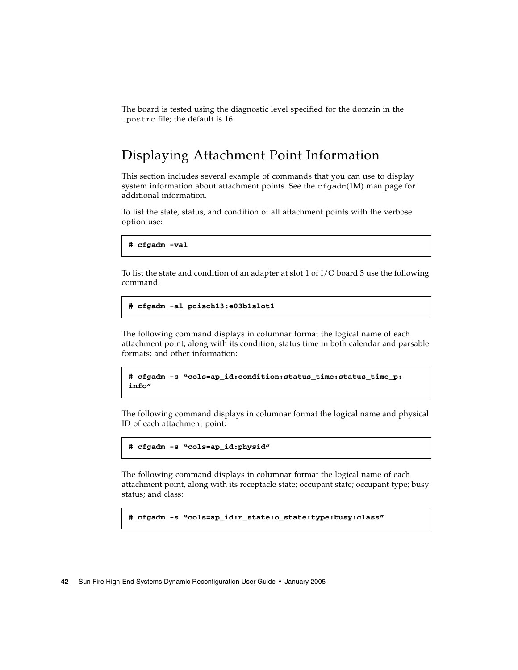The board is tested using the diagnostic level specified for the domain in the .postrc file; the default is 16.

## <span id="page-51-1"></span><span id="page-51-0"></span>Displaying Attachment Point Information

This section includes several example of commands that you can use to display system information about attachment points. See the  $cf$ gadm(1M) man page for additional information.

To list the state, status, and condition of all attachment points with the verbose option use:

**# cfgadm -val**

To list the state and condition of an adapter at slot 1 of  $I/O$  board 3 use the following command:

```
# cfgadm -al pcisch13:e03b1slot1
```
The following command displays in columnar format the logical name of each attachment point; along with its condition; status time in both calendar and parsable formats; and other information:

```
# cfgadm -s "cols=ap_id:condition:status_time:status_time_p: 
info"
```
The following command displays in columnar format the logical name and physical ID of each attachment point:

```
# cfgadm -s "cols=ap_id:physid"
```
The following command displays in columnar format the logical name of each attachment point, along with its receptacle state; occupant state; occupant type; busy status; and class:

```
# cfgadm -s "cols=ap_id:r_state:o_state:type:busy:class"
```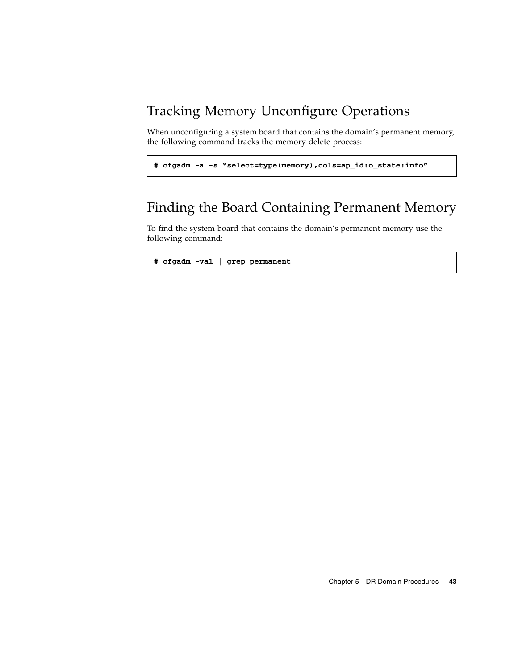## <span id="page-52-2"></span><span id="page-52-0"></span>Tracking Memory Unconfigure Operations

When unconfiguring a system board that contains the domain's permanent memory, the following command tracks the memory delete process:

```
# cfgadm -a -s "select=type(memory),cols=ap_id:o_state:info"
```
## <span id="page-52-1"></span>Finding the Board Containing Permanent Memory

To find the system board that contains the domain's permanent memory use the following command:

```
# cfgadm -val | grep permanent
```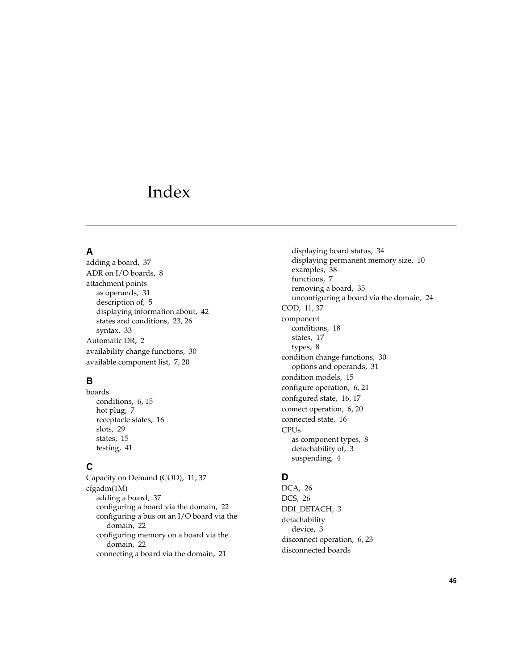## <span id="page-54-0"></span>Index

### **A**

[adding a board,](#page-46-3) 37 [ADR on I/O boards,](#page-17-4) 8 attachment points [as operands,](#page-40-1) 31 [description of,](#page-14-1) 5 [displaying information about,](#page-51-1) 42 [states and conditions,](#page-32-2) 23, [26](#page-35-2) [syntax,](#page-42-4) 33 [Automatic DR,](#page-11-3) 2 [availability change functions,](#page-39-3) 30 [available component list,](#page-16-2) 7, [20](#page-29-2)

### **B**

boards [conditions,](#page-15-2) 6, [15](#page-24-4) [hot plug,](#page-16-3) 7 [receptacle states,](#page-25-2) 16 [slots,](#page-38-4) 29 [states,](#page-24-4) 15 [testing,](#page-50-3) 41

### **C**

[Capacity on Demand \(COD\),](#page-20-2) 11, [37](#page-46-4) cfgadm(1M) [adding a board,](#page-46-3) 37 [configuring a board via the domain,](#page-31-2) 22 [configuring a bus on an I/O board via the](#page-31-3)  domain, 22 [configuring memory on a board via the](#page-31-4)  domain, 22 [connecting a board via the domain,](#page-30-1) 21

[displaying board status,](#page-43-3) 34 [displaying permanent memory size,](#page-19-4) 10 [examples,](#page-47-2) 38 [functions,](#page-16-4) 7 [removing a board,](#page-44-4) 35 [unconfiguring a board via the domain,](#page-33-3) 24 [COD,](#page-20-2) 11, [37](#page-46-4) component [conditions,](#page-27-1) 18 [states,](#page-26-4) 17 [types,](#page-17-5) 8 [condition change functions,](#page-39-4) 30 [options and operands,](#page-40-2) 31 [condition models,](#page-24-5) 15 [configure operation,](#page-15-3) 6, [21](#page-30-2) [configured state,](#page-25-3) 16, [17](#page-26-5) [connect operation,](#page-15-4) 6, [20](#page-29-3) [connected state,](#page-25-4) 16 CPUs [as component types,](#page-17-6) 8 [detachability of,](#page-12-3) 3 [suspending,](#page-13-2) 4

### **D**

[DCA,](#page-35-3) 26 [DCS,](#page-35-4) 26 [DDI\\_DETACH,](#page-12-4) 3 detachability [device,](#page-12-5) 3 [disconnect operation,](#page-15-5) 6, [23](#page-32-3) disconnected boards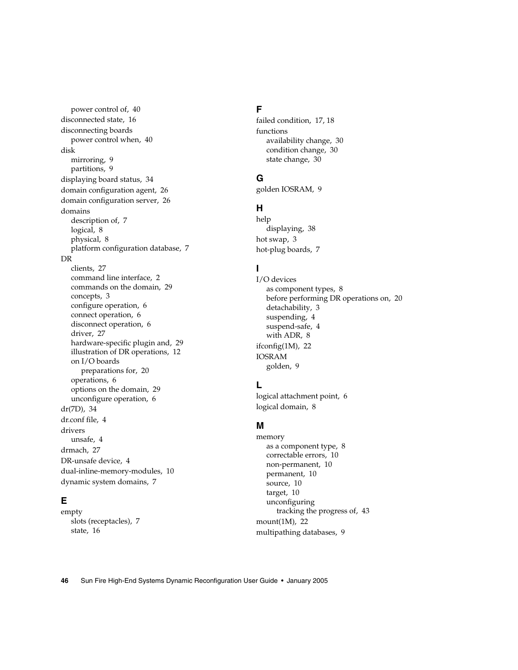[power control of,](#page-49-3) 40 [disconnected state,](#page-25-5) 16 disconnecting boards [power control when,](#page-49-4) 40 disk [mirroring,](#page-18-2) 9 [partitions,](#page-18-3) 9 [displaying board status,](#page-43-3) 34 [domain configuration agent,](#page-35-5) 26 [domain configuration server,](#page-35-6) 26 domains [description of,](#page-16-5) 7 [logical,](#page-17-7) 8 [physical,](#page-17-7) 8 [platform configuration database,](#page-16-6) 7 DR [clients,](#page-36-3) 27

[command line interface,](#page-11-4) 2 [commands on the domain,](#page-38-5) 29 [concepts,](#page-12-6) 3 [configure operation,](#page-15-3) 6 [connect operation,](#page-15-4) 6 [disconnect operation,](#page-15-5) 6 [driver,](#page-36-4) 27 [hardware-specific plugin and,](#page-38-6) 29 [illustration of DR operations,](#page-21-2) 12 on I/O boards [preparations for, 20](#page-29-4) [operations,](#page-15-6) 6 [options on the domain,](#page-38-7) 29 [unconfigure operation,](#page-15-7) 6 [dr\(7D\),](#page-43-4) 34 [dr.conf file,](#page-13-3) 4 drivers [unsafe,](#page-13-3) 4 [drmach,](#page-36-5) 27 [DR-unsafe device,](#page-13-4) 4 [dual-inline-memory-modules,](#page-19-5) 10 [dynamic system domains,](#page-16-5) 7

#### **E**

empty [slots \(receptacles\),](#page-16-7) 7 [state,](#page-25-6) 16

#### **F**

[failed condition,](#page-26-6) 17, [18](#page-27-2) functions [availability change,](#page-39-3) 30 [condition change,](#page-39-4) 30 [state change,](#page-39-5) 30

#### **G**

[golden IOSRAM,](#page-18-4) 9

### **H**

help [displaying,](#page-47-3) 38 [hot swap,](#page-12-7) 3 [hot-plug boards,](#page-16-3) 7

#### **I**

I/O devices [as component types,](#page-17-8) 8 [before performing DR operations on,](#page-29-4) 20 [detachability,](#page-12-8) 3 [suspending,](#page-13-2) 4 [suspend-safe,](#page-13-5) 4 [with ADR,](#page-17-4) 8 [ifconfig\(1M\),](#page-31-5) 22 IOSRAM [golden,](#page-18-4) 9

#### **L**

[logical attachment point,](#page-15-8) 6 [logical domain,](#page-17-7) 8

#### **M**

memory [as a component type,](#page-17-9) 8 [correctable errors,](#page-19-6) 10 [non-permanent,](#page-19-7) 10 [permanent,](#page-19-7) 10 [source,](#page-19-8) 10 [target,](#page-19-9) 10 unconfiguring [tracking the progress of, 43](#page-52-2) [mount\(1M\),](#page-31-6) 22 [multipathing databases,](#page-18-5) 9